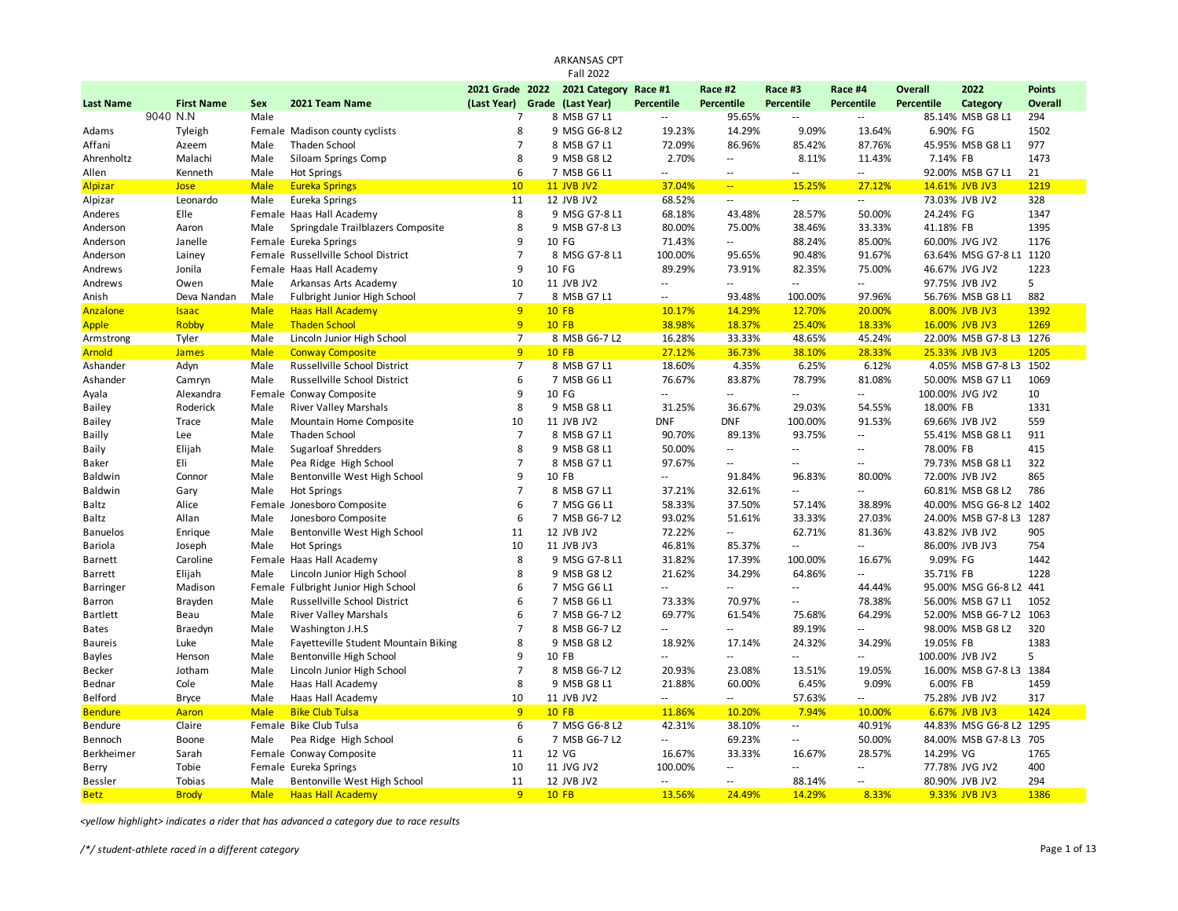|                  |                   |             |                                      |                               | ARKANSAS CPT          |                          |                            |                          |                           |                |                         |                |
|------------------|-------------------|-------------|--------------------------------------|-------------------------------|-----------------------|--------------------------|----------------------------|--------------------------|---------------------------|----------------|-------------------------|----------------|
|                  |                   |             |                                      |                               | <b>Fall 2022</b>      |                          |                            |                          |                           |                |                         |                |
|                  |                   |             |                                      | 2021 Grade 2022               | 2021 Category Race #1 |                          | Race #2                    | Race #3                  | Race #4                   | <b>Overall</b> | 2022                    | <b>Points</b>  |
| <b>Last Name</b> | <b>First Name</b> | Sex         | 2021 Team Name                       | (Last Year) Grade (Last Year) |                       | <b>Percentile</b>        | Percentile                 | Percentile               | Percentile                | Percentile     | Category                | <b>Overall</b> |
|                  | 9040 N.N          | Male        |                                      | $\overline{7}$                | 8 MSB G7 L1           | $\overline{\phantom{a}}$ | 95.65%                     | $\sim$                   | $\sim$                    |                | 85.14% MSB G8 L1        | 294            |
| Adams            | Tyleigh           |             | Female Madison county cyclists       | 8                             | 9 MSG G6-8 L2         | 19.23%                   | 14.29%                     | 9.09%                    | 13.64%                    | 6.90% FG       |                         | 1502           |
| Affani           | Azeem             | Male        | Thaden School                        | $\overline{7}$                | 8 MSB G7 L1           | 72.09%                   | 86.96%                     | 85.42%                   | 87.76%                    |                | 45.95% MSB G8 L1        | 977            |
| Ahrenholtz       | Malachi           | Male        | Siloam Springs Comp                  | 8                             | 9 MSB G8 L2           | 2.70%                    | $\overline{\phantom{a}}$   | 8.11%                    | 11.43%                    | 7.14% FB       |                         | 1473           |
| Allen            | Kenneth           | Male        | Hot Springs                          | 6                             | 7 MSB G6 L1           | $\overline{\phantom{a}}$ | $\sim$ $-$                 | $-$                      | $\sim$                    |                | 92.00% MSB G7 L1        | 21             |
| Alpizar          | Jose              | <b>Male</b> | <b>Eureka Springs</b>                | 10                            | <b>11 JVB JV2</b>     | 37.04%                   | $\mathbb{Z}[\mathbb{Z}_p]$ | 15.25%                   | 27.12%                    |                | 14.61% JVB JV3          | 1219           |
| Alpizar          | Leonardo          | Male        | Eureka Springs                       | 11                            | 12 JVB JV2            | 68.52%                   | $\sim$ $-$                 | $\sim$ $\sim$            | $\sim$ $\sim$             |                | 73.03% JVB JV2          | 328            |
| Anderes          | Elle              |             | Female Haas Hall Academy             | 8                             | 9 MSG G7-8 L1         | 68.18%                   | 43.48%                     | 28.57%                   | 50.00%                    | 24.24% FG      |                         | 1347           |
| Anderson         | Aaron             | Male        | Springdale Trailblazers Composite    | 8                             | 9 MSB G7-8 L3         | 80.00%                   | 75.00%                     | 38.46%                   | 33.33%                    | 41.18% FB      |                         | 1395           |
| Anderson         | Janelle           |             | Female Eureka Springs                | 9                             | 10 FG                 | 71.43%                   | щ.                         | 88.24%                   | 85.00%                    |                | 60.00% JVG JV2          | 1176           |
| Anderson         | Lainey            |             | Female Russellville School District  | $\overline{7}$                | 8 MSG G7-8 L1         | 100.00%                  | 95.65%                     | 90.48%                   | 91.67%                    |                | 63.64% MSG G7-8 L1 1120 |                |
| Andrews          | Jonila            |             | Female Haas Hall Academy             | 9                             | 10 FG                 | 89.29%                   | 73.91%                     | 82.35%                   | 75.00%                    |                | 46.67% JVG JV2          | 1223           |
| Andrews          | Owen              | Male        | Arkansas Arts Academy                | 10                            | 11 JVB JV2            | $\overline{a}$           | $\sim$ $\sim$              | $\sim$ $\sim$            | $\sim$ $\sim$             |                | 97.75% JVB JV2          | 5              |
| Anish            | Deva Nandan       | Male        | Fulbright Junior High School         | $\overline{7}$                | 8 MSB G7 L1           | $\overline{\phantom{a}}$ | 93.48%                     | 100.00%                  | 97.96%                    |                | 56.76% MSB G8 L1        | 882            |
| Anzalone         | <b>Isaac</b>      | <b>Male</b> | <b>Haas Hall Academy</b>             | 9                             | <b>10 FB</b>          | 10.17%                   | 14.29%                     | 12.70%                   | 20.00%                    |                | 8.00% JVB JV3           | 1392           |
| <b>Apple</b>     | Robby             | <b>Male</b> | <b>Thaden School</b>                 | 9                             | <b>10 FB</b>          | 38.98%                   | 18.37%                     | 25.40%                   | 18.33%                    |                | 16.00% JVB JV3          | 1269           |
| Armstrong        | Tyler             | Male        | Lincoln Junior High School           | $\overline{7}$                | 8 MSB G6-7 L2         | 16.28%                   | 33.33%                     | 48.65%                   | 45.24%                    |                | 22.00% MSB G7-8 L3 1276 |                |
| <b>Arnold</b>    | <b>James</b>      | <b>Male</b> | <b>Conway Composite</b>              | 9                             | <b>10 FB</b>          | 27.12%                   | 36.73%                     | 38.10%                   | 28.33%                    |                | 25.33% JVB JV3          | 1205           |
| Ashander         | Adyn              | Male        | Russellville School District         | $\overline{7}$                | 8 MSB G7 L1           | 18.60%                   | 4.35%                      | 6.25%                    | 6.12%                     |                | 4.05% MSB G7-8 L3       | 1502           |
| Ashander         | Camryn            | Male        | Russellville School District         | 6                             | 7 MSB G6 L1           | 76.67%                   | 83.87%                     | 78.79%                   | 81.08%                    |                | 50.00% MSB G7 L1        | 1069           |
| Ayala            | Alexandra         | Female      | Conway Composite                     | 9                             | 10 FG                 | $\overline{a}$           | $-1$                       | $\overline{a}$           | $\sim$                    |                | 100.00% JVG JV2         | 10             |
| <b>Bailey</b>    | Roderick          | Male        | River Valley Marshals                | 8                             | 9 MSB G8 L1           | 31.25%                   | 36.67%                     | 29.03%                   | 54.55%                    | 18.00% FB      |                         | 1331           |
| Bailey           | Trace             | Male        | Mountain Home Composite              | 10                            | 11 JVB JV2            | <b>DNF</b>               | <b>DNF</b>                 | 100.00%                  | 91.53%                    |                | 69.66% JVB JV2          | 559            |
| Bailly           | Lee               | Male        | Thaden School                        | $\overline{7}$                | 8 MSB G7 L1           | 90.70%                   | 89.13%                     | 93.75%                   | $\ddotsc$                 |                | 55.41% MSB G8 L1        | 911            |
| Baily            | Elijah            | Male        | <b>Sugarloaf Shredders</b>           | 8                             | 9 MSB G8 L1           | 50.00%                   | $\sim$                     | $\sim$                   | $\sim$ $\sim$             | 78.00% FB      |                         | 415            |
| Baker            | Eli               | Male        | Pea Ridge High School                | $\overline{7}$                | 8 MSB G7 L1           | 97.67%                   | $\sim$ $-$                 | $\sim$ $-$               | $\sim$ $\sim$             |                | 79.73% MSB G8 L1        | 322            |
| Baldwin          | Connor            | Male        | Bentonville West High School         | 9                             | 10 FB                 | $\overline{\phantom{a}}$ | 91.84%                     | 96.83%                   | 80.00%                    |                | 72.00% JVB JV2          | 865            |
| Baldwin          | Gary              | Male        | <b>Hot Springs</b>                   | $\overline{7}$                | 8 MSB G7 L1           | 37.21%                   | 32.61%                     | $\sim$                   | $\sim$ $\sim$             |                | 60.81% MSB G8 L2        | 786            |
| Baltz            | Alice             |             | Female Jonesboro Composite           | 6                             | 7 MSG G6 L1           | 58.33%                   | 37.50%                     | 57.14%                   | 38.89%                    |                | 40.00% MSG G6-8 L2 1402 |                |
| Baltz            | Allan             | Male        | Jonesboro Composite                  | 6                             | 7 MSB G6-7 L2         | 93.02%                   | 51.61%                     | 33.33%                   | 27.03%                    |                | 24.00% MSB G7-8 L3 1287 |                |
| <b>Banuelos</b>  | Enrique           | Male        | Bentonville West High School         | 11                            | 12 JVB JV2            | 72.22%                   | $\sim$ $\sim$              | 62.71%                   | 81.36%                    |                | 43.82% JVB JV2          | 905            |
| Bariola          | Joseph            | Male        | <b>Hot Springs</b>                   | 10                            | 11 JVB JV3            | 46.81%                   | 85.37%                     | $\sim$ $\sim$            | $\mathbb{L}^{\mathbb{L}}$ |                | 86.00% JVB JV3          | 754            |
| Barnett          | Caroline          |             | Female Haas Hall Academy             | 8                             | 9 MSG G7-8 L1         | 31.82%                   | 17.39%                     | 100.00%                  | 16.67%                    | 9.09% FG       |                         | 1442           |
| <b>Barrett</b>   | Elijah            | Male        | Lincoln Junior High School           | 8                             | 9 MSB G8 L2           | 21.62%                   | 34.29%                     | 64.86%                   | $\sim$ $\sim$             | 35.71% FB      |                         | 1228           |
| Barringer        | Madison           |             | Female Fulbright Junior High School  | 6                             | 7 MSG G6 L1           | $\overline{\phantom{a}}$ | $\sim$                     | $\overline{\phantom{a}}$ | 44.44%                    |                | 95.00% MSG G6-8 L2      | 441            |
| Barron           | Brayden           | Male        | Russellville School District         | 6                             | 7 MSB G6 L1           | 73.33%                   | 70.97%                     | --                       | 78.38%                    |                | 56.00% MSB G7 L1        | 1052           |
| <b>Bartlett</b>  | Beau              | Male        | <b>River Valley Marshals</b>         | 6                             | 7 MSB G6-7 L2         | 69.77%                   | 61.54%                     | 75.68%                   | 64.29%                    |                | 52.00% MSB G6-7 L2      | 1063           |
| <b>Bates</b>     | Braedyn           | Male        | Washington J.H.S                     | $\overline{7}$                | 8 MSB G6-7 L2         | $\overline{\phantom{a}}$ | $\sim$ $\sim$              | 89.19%                   | $\overline{\phantom{a}}$  |                | 98.00% MSB G8 L2        | 320            |
| <b>Baureis</b>   | Luke              | Male        | Fayetteville Student Mountain Biking | 8                             | 9 MSB G8 L2           | 18.92%                   | 17.14%                     | 24.32%                   | 34.29%                    | 19.05% FB      |                         | 1383           |
| <b>Bayles</b>    | Henson            | Male        | Bentonville High School              | 9                             | 10 FB                 | $\overline{\phantom{a}}$ | $\sim$                     | $\overline{\phantom{a}}$ | $\sim$                    |                | 100.00% JVB JV2         | 5              |
| Becker           | Jotham            | Male        | Lincoln Junior High School           | $\overline{7}$                | 8 MSB G6-7 L2         | 20.93%                   | 23.08%                     | 13.51%                   | 19.05%                    |                | 16.00% MSB G7-8 L3 1384 |                |
| Bednar           | Cole              | Male        | Haas Hall Academy                    | 8                             | 9 MSB G8 L1           | 21.88%                   | 60.00%                     | 6.45%                    | 9.09%                     | 6.00% FB       |                         | 1459           |
| Belford          | <b>Bryce</b>      | Male        | Haas Hall Academy                    | 10                            | 11 JVB JV2            | $\overline{\phantom{a}}$ | $\sim$                     | 57.63%                   | $\sim$                    |                | 75.28% JVB JV2          | 317            |
| <b>Bendure</b>   | Aaron             | <b>Male</b> | <b>Bike Club Tulsa</b>               | 9                             | <b>10 FB</b>          | 11.86%                   | 10.20%                     | 7.94%                    | 10.00%                    |                | 6.67% JVB JV3           | 1424           |
| Bendure          | Claire            | Female      | <b>Bike Club Tulsa</b>               | 6                             | 7 MSG G6-8 L2         | 42.31%                   | 38.10%                     | --                       | 40.91%                    |                | 44.83% MSG G6-8 L2 1295 |                |
| Bennoch          | Boone             | Male        | Pea Ridge High School                | 6                             | 7 MSB G6-7 L2         | $\overline{\phantom{a}}$ | 69.23%                     | $\sim$ $\sim$            | 50.00%                    |                | 84.00% MSB G7-8 L3      | 705            |
| Berkheimer       | Sarah             |             | Female Conway Composite              | 11                            | 12 VG                 | 16.67%                   | 33.33%                     | 16.67%                   | 28.57%                    | 14.29% VG      |                         | 1765           |
| Berry            | Tobie             |             | Female Eureka Springs                | 10                            | 11 JVG JV2            | 100.00%                  | $\overline{\phantom{a}}$   | $\sim$                   | $\overline{\phantom{a}}$  |                | 77.78% JVG JV2          | 400            |
| <b>Bessler</b>   | Tobias            | Male        | Bentonville West High School         | 11                            | 12 JVB JV2            | $\overline{\phantom{a}}$ | $\mathbf{u}$               | 88.14%                   | $\sim$ $\sim$             |                | 80.90% JVB JV2          | 294            |
| <b>Betz</b>      | <b>Brody</b>      | <b>Male</b> | <b>Haas Hall Academy</b>             | $\overline{9}$                | <b>10 FB</b>          | 13.56%                   | 24.49%                     | 14.29%                   | 8.33%                     |                | 9.33% JVB JV3           | 1386           |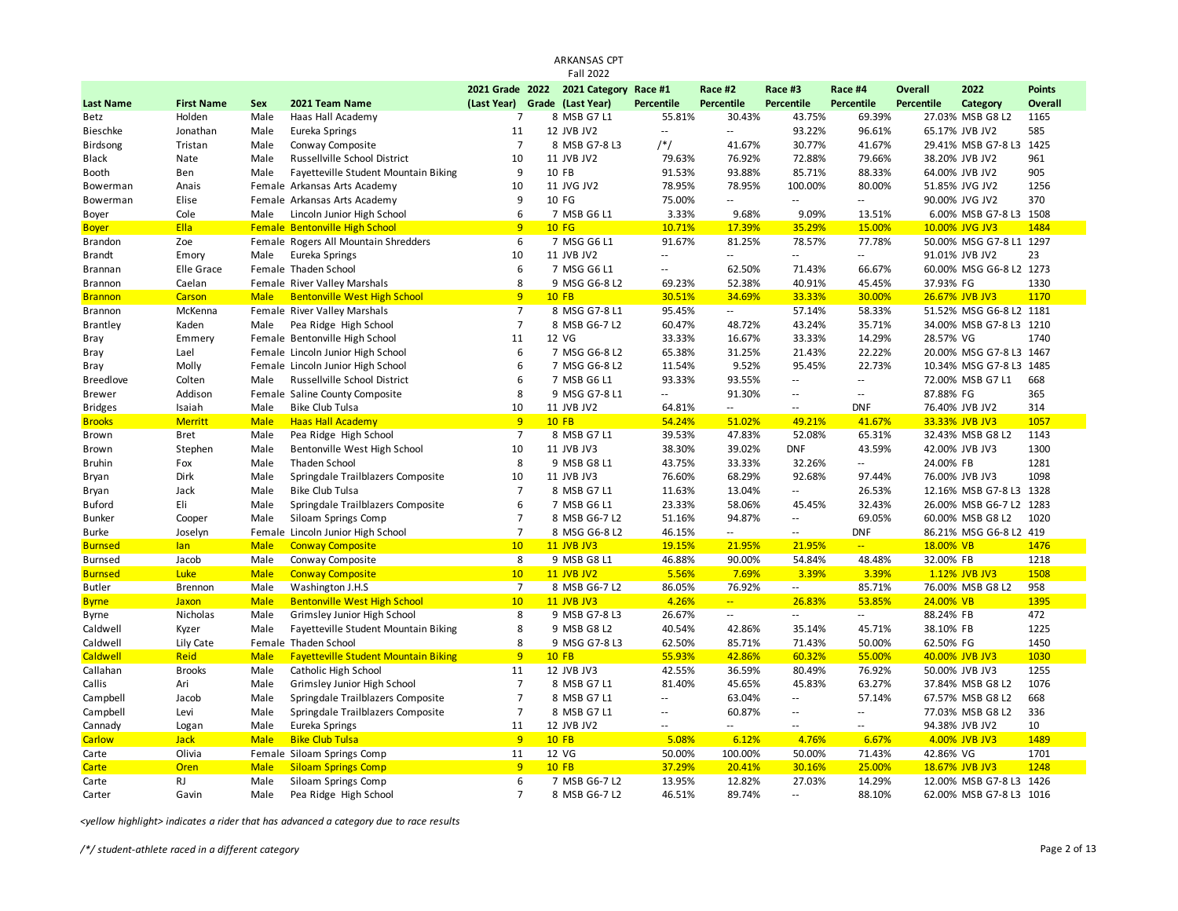|                  |                   |             |                                             |                               |              | ARKANSAS CPT<br><b>Fall 2022</b> |                          |                            |                          |                             |                   |                         |                |
|------------------|-------------------|-------------|---------------------------------------------|-------------------------------|--------------|----------------------------------|--------------------------|----------------------------|--------------------------|-----------------------------|-------------------|-------------------------|----------------|
|                  |                   |             |                                             | 2021 Grade 2022               |              | 2021 Category Race #1            |                          | Race #2                    | Race #3                  | Race #4                     | <b>Overall</b>    | 2022                    | <b>Points</b>  |
| <b>Last Name</b> | <b>First Name</b> | <b>Sex</b>  | 2021 Team Name                              | (Last Year) Grade (Last Year) |              |                                  | <b>Percentile</b>        | Percentile                 | <b>Percentile</b>        | Percentile                  | <b>Percentile</b> | Category                | <b>Overall</b> |
| Betz             | Holden            | Male        | Haas Hall Academy                           | $\overline{7}$                |              | 8 MSB G7 L1                      | 55.81%                   | 30.43%                     | 43.75%                   | 69.39%                      |                   | 27.03% MSB G8 L2        | 1165           |
| <b>Bieschke</b>  | Jonathan          | Male        | Eureka Springs                              | 11                            |              | 12 JVB JV2                       | $\overline{\phantom{a}}$ | $\sim$                     | 93.22%                   | 96.61%                      |                   | 65.17% JVB JV2          | 585            |
| <b>Birdsong</b>  | Tristan           | Male        | Conway Composite                            | $\overline{7}$                |              | 8 MSB G7-8 L3                    | $/*/$                    | 41.67%                     | 30.77%                   | 41.67%                      |                   | 29.41% MSB G7-8 L3      | 1425           |
| Black            | Nate              | Male        | Russellville School District                | 10                            |              | 11 JVB JV2                       | 79.63%                   | 76.92%                     | 72.88%                   | 79.66%                      |                   | 38.20% JVB JV2          | 961            |
| Booth            | Ben               | Male        | Fayetteville Student Mountain Biking        | 9                             | 10 FB        |                                  | 91.53%                   | 93.88%                     | 85.71%                   | 88.33%                      |                   | 64.00% JVB JV2          | 905            |
| Bowerman         | Anais             |             | Female Arkansas Arts Academy                | 10                            |              | 11 JVG JV2                       | 78.95%                   | 78.95%                     | 100.00%                  | 80.00%                      |                   | 51.85% JVG JV2          | 1256           |
| Bowerman         | Elise             |             | Female Arkansas Arts Academy                | 9                             |              | 10 FG                            | 75.00%                   | $\sim$                     | $\sim$                   | $\sim$                      |                   | 90.00% JVG JV2          | 370            |
| Boyer            | Cole              | Male        | Lincoln Junior High School                  | 6                             |              | 7 MSB G6 L1                      | 3.33%                    | 9.68%                      | 9.09%                    | 13.51%                      |                   | 6.00% MSB G7-8 L3 1508  |                |
| <b>Boyer</b>     | Ella              |             | <b>Female Bentonville High School</b>       | 9                             |              | 10 FG                            | 10.71%                   | 17.39%                     | 35.29%                   | 15.00%                      |                   | 10.00% JVG JV3          | 1484           |
| Brandon          | Zoe               |             | Female Rogers All Mountain Shredders        | 6                             |              | 7 MSG G6 L1                      | 91.67%                   | 81.25%                     | 78.57%                   | 77.78%                      |                   | 50.00% MSG G7-8 L1 1297 |                |
| <b>Brandt</b>    | Emory             | Male        | Eureka Springs                              | 10                            |              | 11 JVB JV2                       | --                       | $\sim$                     | $\overline{a}$           | $\sim$                      |                   | 91.01% JVB JV2          | 23             |
| Brannan          | Elle Grace        |             | Female Thaden School                        | 6                             |              | 7 MSG G6 L1                      | $\overline{\phantom{a}}$ | 62.50%                     | 71.43%                   | 66.67%                      |                   | 60.00% MSG G6-8 L2 1273 |                |
| Brannon          | Caelan            |             | Female River Valley Marshals                | 8                             |              | 9 MSG G6-8 L2                    | 69.23%                   | 52.38%                     | 40.91%                   | 45.45%                      | 37.93% FG         |                         | 1330           |
| <b>Brannon</b>   | Carson            | <b>Male</b> | <b>Bentonville West High School</b>         | 9                             | <b>10 FB</b> |                                  | 30.51%                   | 34.69%                     | 33.33%                   | 30.00%                      |                   | 26.67% JVB JV3          | 1170           |
| Brannon          | McKenna           |             | Female River Valley Marshals                | $\overline{7}$                |              | 8 MSG G7-8 L1                    | 95.45%                   | $\sim$                     | 57.14%                   | 58.33%                      |                   | 51.52% MSG G6-8 L2      | 1181           |
| <b>Brantley</b>  | Kaden             | Male        | Pea Ridge High School                       | $\overline{7}$                |              | 8 MSB G6-7 L2                    | 60.47%                   | 48.72%                     | 43.24%                   | 35.71%                      |                   | 34.00% MSB G7-8 L3 1210 |                |
| Bray             | Emmery            |             | Female Bentonville High School              | 11                            |              | 12 VG                            | 33.33%                   | 16.67%                     | 33.33%                   | 14.29%                      | 28.57% VG         |                         | 1740           |
| Bray             | Lael              |             | Female Lincoln Junior High School           | 6                             |              | 7 MSG G6-8 L2                    | 65.38%                   | 31.25%                     | 21.43%                   | 22.22%                      |                   | 20.00% MSG G7-8 L3 1467 |                |
| Bray             | Molly             |             | Female Lincoln Junior High School           | 6                             |              | 7 MSG G6-8 L2                    | 11.54%                   | 9.52%                      | 95.45%                   | 22.73%                      |                   | 10.34% MSG G7-8 L3      | 1485           |
| <b>Breedlove</b> | Colten            | Male        | Russellville School District                | 6                             |              | 7 MSB G6 L1                      | 93.33%                   | 93.55%                     | цú.                      | $\mathcal{L}_{\mathcal{A}}$ |                   | 72.00% MSB G7 L1        | 668            |
| <b>Brewer</b>    | Addison           |             | Female Saline County Composite              | 8                             |              | 9 MSG G7-8 L1                    | $\overline{\phantom{a}}$ | 91.30%                     | $\overline{a}$           | $\sim$                      | 87.88% FG         |                         | 365            |
| <b>Bridges</b>   | Isaiah            | Male        | <b>Bike Club Tulsa</b>                      | 10                            |              | 11 JVB JV2                       | 64.81%                   | $\mathbb{Z}^2$             | $\overline{a}$           | <b>DNF</b>                  |                   | 76.40% JVB JV2          | 314            |
| <b>Brooks</b>    | <b>Merritt</b>    | <b>Male</b> | <b>Haas Hall Academy</b>                    | 9                             | $10$ FB      |                                  | 54.24%                   | 51.02%                     | 49.21%                   | 41.67%                      |                   | 33.33% JVB JV3          | 1057           |
| Brown            | <b>Bret</b>       | Male        | Pea Ridge High School                       | $\overline{7}$                |              | 8 MSB G7 L1                      | 39.53%                   | 47.83%                     | 52.08%                   | 65.31%                      |                   | 32.43% MSB G8 L2        | 1143           |
| Brown            | Stephen           | Male        | Bentonville West High School                | 10                            |              | 11 JVB JV3                       | 38.30%                   | 39.02%                     | <b>DNF</b>               | 43.59%                      |                   | 42.00% JVB JV3          | 1300           |
| <b>Bruhin</b>    | Fox               | Male        | <b>Thaden School</b>                        | 8                             |              | 9 MSB G8 L1                      | 43.75%                   | 33.33%                     | 32.26%                   | $\sim$                      | 24.00% FB         |                         | 1281           |
| Bryan            | Dirk              | Male        | Springdale Trailblazers Composite           | 10                            |              | 11 JVB JV3                       | 76.60%                   | 68.29%                     | 92.68%                   | 97.44%                      |                   | 76.00% JVB JV3          | 1098           |
| Bryan            | Jack              | Male        | <b>Bike Club Tulsa</b>                      | $\overline{7}$                |              | 8 MSB G7 L1                      | 11.63%                   | 13.04%                     | Ξ.                       | 26.53%                      |                   | 12.16% MSB G7-8 L3      | 1328           |
| <b>Buford</b>    | Eli               | Male        | Springdale Trailblazers Composite           | 6                             |              | 7 MSB G6 L1                      | 23.33%                   | 58.06%                     | 45.45%                   | 32.43%                      |                   | 26.00% MSB G6-7 L2 1283 |                |
| <b>Bunker</b>    | Cooper            | Male        | Siloam Springs Comp                         | $\overline{7}$                |              | 8 MSB G6-7 L2                    | 51.16%                   | 94.87%                     | $\overline{a}$           | 69.05%                      |                   | 60.00% MSB G8 L2        | 1020           |
| <b>Burke</b>     | Joselyn           |             | Female Lincoln Junior High School           | $\overline{7}$                |              | 8 MSG G6-8 L2                    | 46.15%                   | $\sim$ $\sim$              | $\sim$ $-$               | <b>DNF</b>                  |                   | 86.21% MSG G6-8 L2 419  |                |
| <b>Burnsed</b>   | lan               | <b>Male</b> | <b>Conway Composite</b>                     | 10                            |              | 11 JVB JV3                       | 19.15%                   | 21.95%                     | 21.95%                   | $\omega_{\rm{eff}}$         | 18.00% VB         |                         | 1476           |
| <b>Burnsed</b>   | Jacob             | Male        | Conway Composite                            | 8                             |              | 9 MSB G8 L1                      | 46.88%                   | 90.00%                     | 54.84%                   | 48.48%                      | 32.00% FB         |                         | 1218           |
| <b>Burnsed</b>   | Luke              | <b>Male</b> | <b>Conway Composite</b>                     | 10                            |              | <b>11 JVB JV2</b>                | 5.56%                    | 7.69%                      | 3.39%                    | 3.39%                       |                   | 1.12% JVB JV3           | 1508           |
| <b>Butler</b>    | <b>Brennon</b>    | Male        | Washington J.H.S                            | $\overline{7}$                |              | 8 MSB G6-7 L2                    | 86.05%                   | 76.92%                     | $\sim$                   | 85.71%                      |                   | 76.00% MSB G8 L2        | 958            |
| <b>Byrne</b>     | <b>Jaxon</b>      | <b>Male</b> | <b>Bentonville West High School</b>         | 10                            |              | <b>11 JVB JV3</b>                | 4.26%                    | $\mathbb{Z}[\mathbb{Z}_p]$ | 26.83%                   | 53.85%                      | 24.00% VB         |                         | 1395           |
| Byrne            | Nicholas          | Male        | Grimsley Junior High School                 | 8                             |              | 9 MSB G7-8 L3                    | 26.67%                   | $\mathbb{Z}^2$             | ٠.                       | $\sim$                      | 88.24% FB         |                         | 472            |
| Caldwell         | Kyzer             | Male        | Fayetteville Student Mountain Biking        | 8                             |              | 9 MSB G8 L2                      | 40.54%                   | 42.86%                     | 35.14%                   | 45.71%                      | 38.10% FB         |                         | 1225           |
| Caldwell         | Lily Cate         |             | Female Thaden School                        | 8                             |              | 9 MSG G7-8 L3                    | 62.50%                   | 85.71%                     | 71.43%                   | 50.00%                      | 62.50% FG         |                         | 1450           |
| <b>Caldwell</b>  | Reid              | <b>Male</b> | <b>Fayetteville Student Mountain Biking</b> | 9                             | <b>10 FB</b> |                                  | 55.93%                   | 42.86%                     | 60.32%                   | 55.00%                      |                   | 40.00% JVB JV3          | 1030           |
| Callahan         | <b>Brooks</b>     | Male        | Catholic High School                        | 11                            |              | 12 JVB JV3                       | 42.55%                   | 36.59%                     | 80.49%                   | 76.92%                      |                   | 50.00% JVB JV3          | 1255           |
| Callis           | Ari               | Male        | Grimsley Junior High School                 | $\overline{7}$                |              | 8 MSB G7 L1                      | 81.40%                   | 45.65%                     | 45.83%                   | 63.27%                      |                   | 37.84% MSB G8 L2        | 1076           |
| Campbell         | Jacob             | Male        | Springdale Trailblazers Composite           | $\overline{7}$                |              | 8 MSB G7 L1                      | $\overline{\phantom{a}}$ | 63.04%                     | $\overline{\phantom{a}}$ | 57.14%                      |                   | 67.57% MSB G8 L2        | 668            |
| Campbell         | Levi              | Male        | Springdale Trailblazers Composite           | $\overline{7}$                |              | 8 MSB G7 L1                      | $\overline{\phantom{a}}$ | 60.87%                     | $\overline{a}$           | $\sim$ $\sim$               |                   | 77.03% MSB G8 L2        | 336            |
| Cannady          | Logan             | Male        | Eureka Springs                              | 11                            |              | 12 JVB JV2                       | $\overline{\phantom{a}}$ | $\sim$                     | $-$                      | $\overline{\phantom{a}}$    |                   | 94.38% JVB JV2          | 10             |
| <b>Carlow</b>    | <b>Jack</b>       | <b>Male</b> | <b>Bike Club Tulsa</b>                      | 9                             | <b>10 FB</b> |                                  | 5.08%                    | 6.12%                      | 4.76%                    | 6.67%                       |                   | 4.00% JVB JV3           | 1489           |
| Carte            | Olivia            |             | Female Siloam Springs Comp                  | 11                            |              | 12 VG                            | 50.00%                   | 100.00%                    | 50.00%                   | 71.43%                      | 42.86% VG         |                         | 1701           |
| Carte            | Oren              | <b>Male</b> | <b>Siloam Springs Comp</b>                  | 9                             |              | $10$ FB                          | 37.29%                   | 20.41%                     | 30.16%                   | 25.00%                      |                   | 18.67% JVB JV3          | 1248           |
| Carte            | <b>RJ</b>         | Male        | Siloam Springs Comp                         | 6                             |              | 7 MSB G6-7 L2                    | 13.95%                   | 12.82%                     | 27.03%                   | 14.29%                      |                   | 12.00% MSB G7-8 L3      | 1426           |
| Carter           | Gavin             | Male        | Pea Ridge High School                       | $\overline{7}$                |              | 8 MSB G6-7 L2                    | 46.51%                   | 89.74%                     | $\overline{a}$           | 88.10%                      |                   | 62.00% MSB G7-8 L3 1016 |                |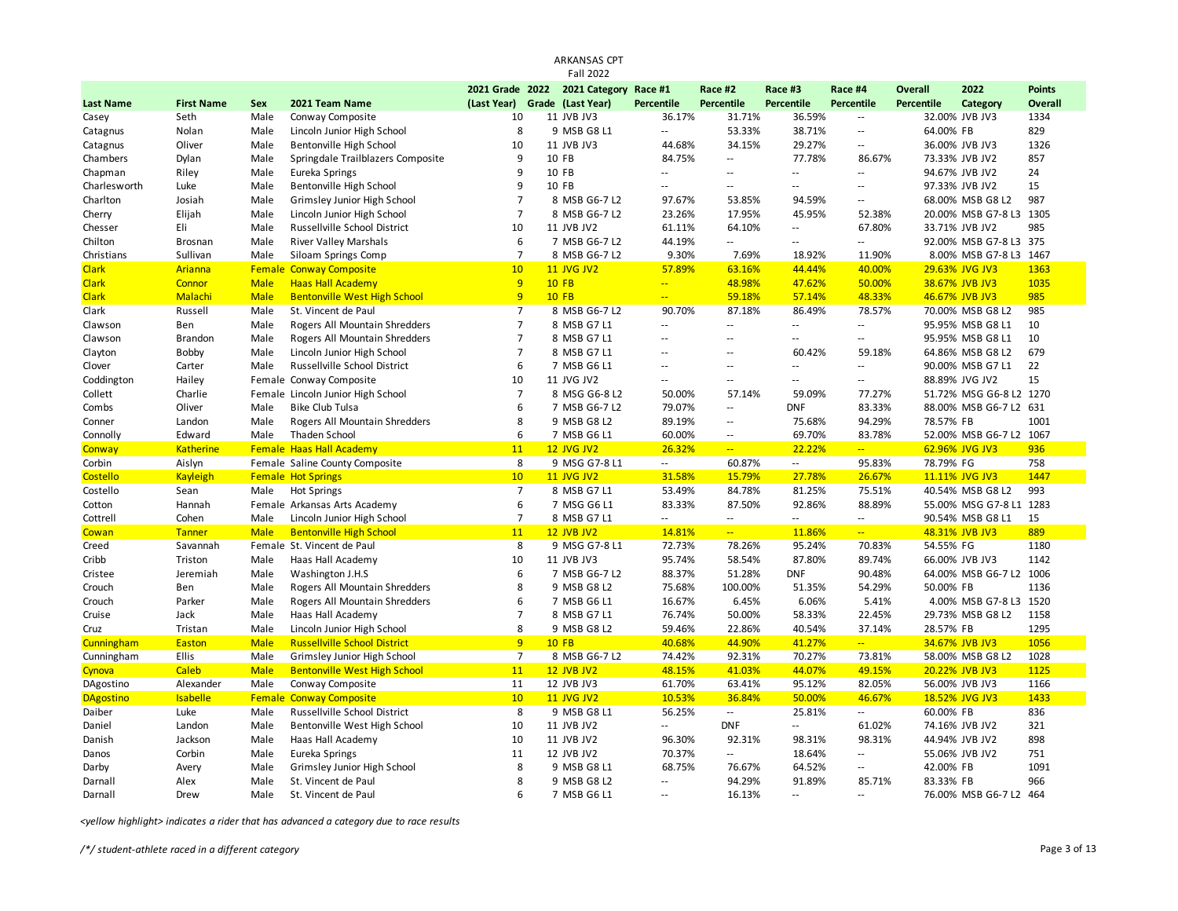|                  |                   |             |                                     |                 | <b>ARKANSAS CPT</b><br><b>Fall 2022</b> |                          |                             |                          |                          |                   |                         |               |
|------------------|-------------------|-------------|-------------------------------------|-----------------|-----------------------------------------|--------------------------|-----------------------------|--------------------------|--------------------------|-------------------|-------------------------|---------------|
|                  |                   |             |                                     | 2021 Grade 2022 | 2021 Category Race #1                   |                          | Race #2                     | Race #3                  | Race #4                  | <b>Overall</b>    | 2022                    | <b>Points</b> |
| <b>Last Name</b> | <b>First Name</b> | Sex         | 2021 Team Name                      | (Last Year)     | Grade (Last Year)                       | <b>Percentile</b>        | Percentile                  | <b>Percentile</b>        | Percentile               | <b>Percentile</b> | Category                | Overall       |
| Casey            | Seth              | Male        | Conway Composite                    | 10              | 11 JVB JV3                              | 36.17%                   | 31.71%                      | 36.59%                   | $\sim$                   |                   | 32.00% JVB JV3          | 1334          |
| Catagnus         | Nolan             | Male        | Lincoln Junior High School          | 8               | 9 MSB G8 L1                             | Ξ.                       | 53.33%                      | 38.71%                   | $\sim$                   | 64.00% FB         |                         | 829           |
| Catagnus         | Oliver            | Male        | Bentonville High School             | 10              | 11 JVB JV3                              | 44.68%                   | 34.15%                      | 29.27%                   | $\sim$                   |                   | 36.00% JVB JV3          | 1326          |
| Chambers         | Dylan             | Male        | Springdale Trailblazers Composite   | 9               | 10 FB                                   | 84.75%                   | $\sim$                      | 77.78%                   | 86.67%                   |                   | 73.33% JVB JV2          | 857           |
| Chapman          | Riley             | Male        | Eureka Springs                      | 9               | 10 FB                                   | $-$                      | $\sim$ $\sim$               | $\sim$                   | $\sim$                   |                   | 94.67% JVB JV2          | 24            |
| Charlesworth     | Luke              | Male        | Bentonville High School             | 9               | 10 FB                                   | --                       | $\sim$ $\sim$               | $\overline{\phantom{a}}$ | $\sim$                   |                   | 97.33% JVB JV2          | 15            |
| Charlton         | Josiah            | Male        | Grimsley Junior High School         | $\overline{7}$  | 8 MSB G6-7 L2                           | 97.67%                   | 53.85%                      | 94.59%                   | $\overline{\phantom{a}}$ |                   | 68.00% MSB G8 L2        | 987           |
| Cherry           | Elijah            | Male        | Lincoln Junior High School          | $\overline{7}$  | 8 MSB G6-7 L2                           | 23.26%                   | 17.95%                      | 45.95%                   | 52.38%                   |                   | 20.00% MSB G7-8 L3      | 1305          |
| Chesser          | Eli               | Male        | Russellville School District        | 10              | 11 JVB JV2                              | 61.11%                   | 64.10%                      | $\overline{\phantom{a}}$ | 67.80%                   |                   | 33.71% JVB JV2          | 985           |
| Chilton          | <b>Brosnan</b>    | Male        | <b>River Valley Marshals</b>        | 6               | 7 MSB G6-7 L2                           | 44.19%                   | $\mathcal{L}_{\mathcal{A}}$ | $\overline{a}$           | $\sim$                   |                   | 92.00% MSB G7-8 L3 375  |               |
| Christians       | Sullivan          | Male        | Siloam Springs Comp                 | $\overline{7}$  | 8 MSB G6-7 L2                           | 9.30%                    | 7.69%                       | 18.92%                   | 11.90%                   |                   | 8.00% MSB G7-8 L3       | 1467          |
| <b>Clark</b>     | Arianna           |             | <b>Female Conway Composite</b>      | 10              | <b>11 JVG JV2</b>                       | 57.89%                   | 63.16%                      | 44.44%                   | 40.00%                   |                   | 29.63% JVG JV3          | 1363          |
| <b>Clark</b>     | Connor            | <b>Male</b> | <b>Haas Hall Academy</b>            | 9               | <b>10 FB</b>                            | ш,                       | 48.98%                      | 47.62%                   | 50.00%                   |                   | 38.67% JVB JV3          | 1035          |
| <b>Clark</b>     | Malachi           | <b>Male</b> | <b>Bentonville West High School</b> | 9               | <b>10 FB</b>                            | $\overline{a}$           | 59.18%                      | 57.14%                   | 48.33%                   |                   | 46.67% JVB JV3          | 985           |
| Clark            | Russell           | Male        | St. Vincent de Paul                 | $\overline{7}$  | 8 MSB G6-7 L2                           | 90.70%                   | 87.18%                      | 86.49%                   | 78.57%                   |                   | 70.00% MSB G8 L2        | 985           |
| Clawson          | Ben               | Male        | Rogers All Mountain Shredders       | $\overline{7}$  | 8 MSB G7 L1                             | --                       | $\sim$ $\sim$               | $\overline{a}$           | $\sim$                   |                   | 95.95% MSB G8 L1        | 10            |
| Clawson          | <b>Brandon</b>    | Male        | Rogers All Mountain Shredders       | $\overline{7}$  | 8 MSB G7 L1                             | Ξ.                       | $-$                         | Ξ.                       | $\overline{\phantom{a}}$ |                   | 95.95% MSB G8 L1        | 10            |
| Clayton          | Bobby             | Male        | Lincoln Junior High School          | $\overline{7}$  | 8 MSB G7 L1                             | $-$                      | $\overline{a}$              | 60.42%                   | 59.18%                   |                   | 64.86% MSB G8 L2        | 679           |
| Clover           | Carter            | Male        | Russellville School District        | 6               | 7 MSB G6 L1                             | $\overline{\phantom{a}}$ | $\sim$ $\sim$               | $\overline{a}$           | Ξ.                       |                   | 90.00% MSB G7 L1        | 22            |
| Coddington       | Hailey            |             | Female Conway Composite             | 10              | 11 JVG JV2                              | $-$                      | $\sim$ $\sim$               | $-$                      | $\sim$ $\sim$            |                   | 88.89% JVG JV2          | 15            |
| Collett          | Charlie           |             | Female Lincoln Junior High School   | $\overline{7}$  | 8 MSG G6-8 L2                           | 50.00%                   | 57.14%                      | 59.09%                   | 77.27%                   |                   | 51.72% MSG G6-8 L2      | 1270          |
| Combs            | Oliver            | Male        | <b>Bike Club Tulsa</b>              | 6               | 7 MSB G6-7 L2                           | 79.07%                   | $\sim$ $\sim$               | <b>DNF</b>               | 83.33%                   |                   | 88.00% MSB G6-7 L2 631  |               |
| Conner           | Landon            | Male        | Rogers All Mountain Shredders       | 8               | 9 MSB G8 L2                             | 89.19%                   | $\sim$                      | 75.68%                   | 94.29%                   | 78.57% FB         |                         | 1001          |
| Connolly         | Edward            | Male        | Thaden School                       | 6               | 7 MSB G6 L1                             | 60.00%                   | $\sim$                      | 69.70%                   | 83.78%                   |                   | 52.00% MSB G6-7 L2      | 1067          |
| Conway           | <b>Katherine</b>  |             | <b>Female Haas Hall Academy</b>     | 11              | <b>12 JVG JV2</b>                       | 26.32%                   | $\omega_{\rm{m}}$           | 22.22%                   | $\omega_{\rm m}$         |                   | 62.96% JVG JV3          | 936           |
| Corbin           | Aislyn            |             | Female Saline County Composite      | 8               | 9 MSG G7-8 L1                           | $\sim$                   | 60.87%                      | н.                       | 95.83%                   | 78.79% FG         |                         | 758           |
| Costello         | <b>Kayleigh</b>   |             | <b>Female Hot Springs</b>           | 10              | 11 JVG JV2                              | 31.58%                   | 15.79%                      | 27.78%                   | 26.67%                   |                   | 11.11% JVG JV3          | 1447          |
| Costello         | Sean              | Male        | <b>Hot Springs</b>                  | $\overline{7}$  | 8 MSB G7 L1                             | 53.49%                   | 84.78%                      | 81.25%                   | 75.51%                   |                   | 40.54% MSB G8 L2        | 993           |
| Cotton           | Hannah            |             | Female Arkansas Arts Academy        | 6               | 7 MSG G6 L1                             | 83.33%                   | 87.50%                      | 92.86%                   | 88.89%                   |                   | 55.00% MSG G7-8 L1 1283 |               |
| Cottrell         | Cohen             | Male        | Lincoln Junior High School          | $\overline{7}$  | 8 MSB G7 L1                             | --                       | $\sim$                      | --                       | $\sim$                   |                   | 90.54% MSB G8 L1        | 15            |
| Cowan            | <b>Tanner</b>     | <b>Male</b> | <b>Bentonville High School</b>      | 11              | <b>12 JVB JV2</b>                       | 14.81%                   | $\omega_{\rm eff}$          | 11.86%                   | $\sim$                   |                   | 48.31% JVB JV3          | 889           |
| Creed            | Savannah          |             | Female St. Vincent de Paul          | 8               | 9 MSG G7-8 L1                           | 72.73%                   | 78.26%                      | 95.24%                   | 70.83%                   | 54.55% FG         |                         | 1180          |
| Cribb            | Triston           | Male        | Haas Hall Academy                   | 10              | 11 JVB JV3                              | 95.74%                   | 58.54%                      | 87.80%                   | 89.74%                   |                   | 66.00% JVB JV3          | 1142          |
| Cristee          | Jeremiah          | Male        | Washington J.H.S                    | 6               | 7 MSB G6-7 L2                           | 88.37%                   | 51.28%                      | <b>DNF</b>               | 90.48%                   |                   | 64.00% MSB G6-7 L2      | 1006          |
| Crouch           | Ben               | Male        | Rogers All Mountain Shredders       | 8               | 9 MSB G8 L2                             | 75.68%                   | 100.00%                     | 51.35%                   | 54.29%                   | 50.00% FB         |                         | 1136          |
| Crouch           | Parker            | Male        | Rogers All Mountain Shredders       | 6               | 7 MSB G6 L1                             | 16.67%                   | 6.45%                       | 6.06%                    | 5.41%                    |                   | 4.00% MSB G7-8 L3 1520  |               |
| Cruise           | Jack              | Male        | Haas Hall Academy                   | $\overline{7}$  | 8 MSB G7 L1                             | 76.74%                   | 50.00%                      | 58.33%                   | 22.45%                   |                   | 29.73% MSB G8 L2        | 1158          |
| Cruz             | Tristan           | Male        | Lincoln Junior High School          | 8               | 9 MSB G8 L2                             | 59.46%                   | 22.86%                      | 40.54%                   | 37.14%                   | 28.57% FB         |                         | 1295          |
| Cunningham       | Easton            | <b>Male</b> | <b>Russellville School District</b> | 9               | <b>10 FB</b>                            | 40.68%                   | 44.90%                      | 41.27%                   | $\omega_{\rm{eff}}$      |                   | 34.67% JVB JV3          | 1056          |
| Cunningham       | Ellis             | Male        | Grimsley Junior High School         | $\overline{7}$  | 8 MSB G6-7 L2                           | 74.42%                   | 92.31%                      | 70.27%                   | 73.81%                   |                   | 58.00% MSB G8 L2        | 1028          |
| Cynova           | Caleb             | <b>Male</b> | <b>Bentonville West High School</b> | 11              | <b>12 JVB JV2</b>                       | 48.15%                   | 41.03%                      | 44.07%                   | 49.15%                   |                   | 20.22% JVB JV3          | 1125          |
| DAgostino        | Alexander         | Male        | Conway Composite                    | 11              | 12 JVB JV3                              | 61.70%                   | 63.41%                      | 95.12%                   | 82.05%                   |                   | 56.00% JVB JV3          | 1166          |
| <b>DAgostino</b> | <b>Isabelle</b>   |             | <b>Female Conway Composite</b>      | 10              | <b>11 JVG JV2</b>                       | 10.53%                   | 36.84%                      | 50.00%                   | 46.67%                   |                   | 18.52% JVG JV3          | 1433          |
| Daiber           | Luke              | Male        | Russellville School District        | 8               | 9 MSB G8 L1                             | 56.25%                   | $\sim$                      | 25.81%                   | $\sim$                   | 60.00% FB         |                         | 836           |
| Daniel           | Landon            | Male        | Bentonville West High School        | 10              | 11 JVB JV2                              | $\overline{\phantom{a}}$ | <b>DNF</b>                  | Ξ.                       | 61.02%                   |                   | 74.16% JVB JV2          | 321           |
| Danish           | Jackson           | Male        | Haas Hall Academy                   | 10              | 11 JVB JV2                              | 96.30%                   | 92.31%                      | 98.31%                   | 98.31%                   |                   | 44.94% JVB JV2          | 898           |
| Danos            | Corbin            | Male        | Eureka Springs                      | 11              | 12 JVB JV2                              | 70.37%                   | $\sim$ $\sim$               | 18.64%                   | $\sim$ $\sim$            |                   | 55.06% JVB JV2          | 751           |
| Darby            | Avery             | Male        | Grimsley Junior High School         | 8               | 9 MSB G8 L1                             | 68.75%                   | 76.67%                      | 64.52%                   | $\sim$                   | 42.00% FB         |                         | 1091          |
| Darnall          | Alex              | Male        | St. Vincent de Paul                 | 8               | 9 MSB G8 L2                             | $\overline{a}$           | 94.29%                      | 91.89%                   | 85.71%                   | 83.33% FB         |                         | 966           |
| Darnall          | Drew              | Male        | St. Vincent de Paul                 | 6               | 7 MSB G6 L1                             | $\overline{a}$           | 16.13%                      | $\sim$ $-$               | $\sim$                   |                   | 76.00% MSB G6-7 L2      | 464           |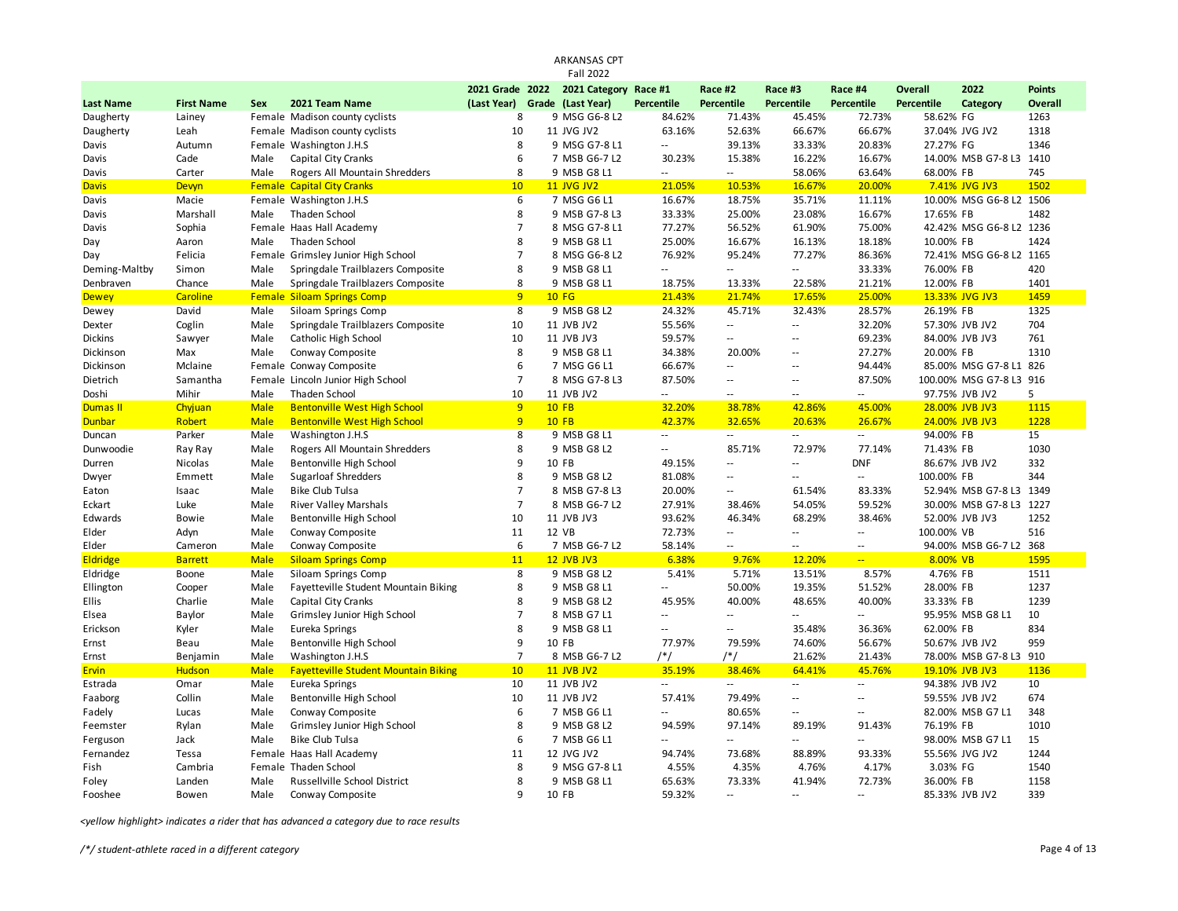|                  |                   |             |                                             |                                                  | ARKANSAS CPT<br><b>Fall 2022</b> |                          |                          |                          |                             |                                     |                         |                          |
|------------------|-------------------|-------------|---------------------------------------------|--------------------------------------------------|----------------------------------|--------------------------|--------------------------|--------------------------|-----------------------------|-------------------------------------|-------------------------|--------------------------|
|                  |                   |             |                                             |                                                  |                                  |                          |                          |                          |                             |                                     |                         |                          |
| <b>Last Name</b> | <b>First Name</b> | <b>Sex</b>  | 2021 Team Name                              | 2021 Grade 2022<br>(Last Year) Grade (Last Year) | 2021 Category Race #1            | <b>Percentile</b>        | Race #2<br>Percentile    | Race #3<br>Percentile    | Race #4<br>Percentile       | <b>Overall</b><br><b>Percentile</b> | 2022<br>Category        | <b>Points</b><br>Overall |
| Daugherty        | Lainey            |             | Female Madison county cyclists              | 8                                                | 9 MSG G6-8 L2                    | 84.62%                   | 71.43%                   | 45.45%                   | 72.73%                      | 58.62% FG                           |                         | 1263                     |
| Daugherty        | Leah              |             | Female Madison county cyclists              | 10                                               | 11 JVG JV2                       | 63.16%                   | 52.63%                   | 66.67%                   | 66.67%                      |                                     | 37.04% JVG JV2          | 1318                     |
| Davis            | Autumn            |             | Female Washington J.H.S                     | 8                                                | 9 MSG G7-8 L1                    | $\overline{\phantom{a}}$ | 39.13%                   | 33.33%                   | 20.83%                      | 27.27% FG                           |                         | 1346                     |
| Davis            | Cade              | Male        | Capital City Cranks                         | 6                                                | 7 MSB G6-7 L2                    | 30.23%                   | 15.38%                   | 16.22%                   | 16.67%                      |                                     | 14.00% MSB G7-8 L3 1410 |                          |
| Davis            | Carter            | Male        | Rogers All Mountain Shredders               | 8                                                | 9 MSB G8 L1                      | $\mathbf{u}$             | $\sim$ $\sim$            | 58.06%                   | 63.64%                      | 68.00% FB                           |                         | 745                      |
| <b>Davis</b>     | Devyn             |             | <b>Female Capital City Cranks</b>           | 10                                               | <b>11 JVG JV2</b>                | 21.05%                   | 10.53%                   | 16.67%                   | 20.00%                      |                                     | 7.41% JVG JV3           | 1502                     |
| Davis            | Macie             |             | Female Washington J.H.S                     | 6                                                | 7 MSG G6 L1                      | 16.67%                   | 18.75%                   | 35.71%                   | 11.11%                      |                                     | 10.00% MSG G6-8 L2 1506 |                          |
| Davis            | Marshall          | Male        | Thaden School                               | 8                                                | 9 MSB G7-8 L3                    | 33.33%                   | 25.00%                   | 23.08%                   | 16.67%                      | 17.65% FB                           |                         | 1482                     |
| Davis            | Sophia            |             | Female Haas Hall Academy                    | $\overline{7}$                                   | 8 MSG G7-8 L1                    | 77.27%                   | 56.52%                   | 61.90%                   | 75.00%                      |                                     | 42.42% MSG G6-8 L2 1236 |                          |
| Day              | Aaron             | Male        | Thaden School                               | 8                                                | 9 MSB G8 L1                      | 25.00%                   | 16.67%                   | 16.13%                   | 18.18%                      | 10.00% FB                           |                         | 1424                     |
| Day              | Felicia           |             | Female Grimsley Junior High School          | $\overline{7}$                                   | 8 MSG G6-8 L2                    | 76.92%                   | 95.24%                   | 77.27%                   | 86.36%                      |                                     | 72.41% MSG G6-8 L2 1165 |                          |
| Deming-Maltby    | Simon             | Male        | Springdale Trailblazers Composite           | 8                                                | 9 MSB G8 L1                      | Ξ.                       | $\sim$ $\sim$            | $-1$                     | 33.33%                      | 76.00% FB                           |                         | 420                      |
| Denbraven        | Chance            | Male        | Springdale Trailblazers Composite           | 8                                                | 9 MSB G8 L1                      | 18.75%                   | 13.33%                   | 22.58%                   | 21.21%                      | 12.00% FB                           |                         | 1401                     |
| <b>Dewey</b>     | Caroline          |             | <b>Female Siloam Springs Comp</b>           | 9                                                | <b>10 FG</b>                     | 21.43%                   | 21.74%                   | 17.65%                   | 25.00%                      |                                     | 13.33% JVG JV3          | 1459                     |
| Dewey            | David             | Male        | Siloam Springs Comp                         | 8                                                | 9 MSB G8 L2                      | 24.32%                   | 45.71%                   | 32.43%                   | 28.57%                      | 26.19% FB                           |                         | 1325                     |
| Dexter           | Coglin            | Male        | Springdale Trailblazers Composite           | 10                                               | 11 JVB JV2                       | 55.56%                   | $\sim$                   | $\overline{\phantom{a}}$ | 32.20%                      |                                     | 57.30% JVB JV2          | 704                      |
| <b>Dickins</b>   | Sawyer            | Male        | Catholic High School                        | 10                                               | 11 JVB JV3                       | 59.57%                   | $\sim$                   | ц.                       | 69.23%                      |                                     | 84.00% JVB JV3          | 761                      |
| Dickinson        | Max               | Male        | Conway Composite                            | 8                                                | 9 MSB G8 L1                      | 34.38%                   | 20.00%                   | $\overline{a}$           | 27.27%                      | 20.00% FB                           |                         | 1310                     |
| Dickinson        | Mclaine           |             | Female Conway Composite                     | 6                                                | 7 MSG G6 L1                      | 66.67%                   | $\ddotsc$                | $\sim$ $\sim$            | 94.44%                      |                                     | 85.00% MSG G7-8 L1      | 826                      |
| Dietrich         | Samantha          |             | Female Lincoln Junior High School           | $\overline{7}$                                   | 8 MSG G7-8 L3                    | 87.50%                   | $\sim$ $\sim$            | $\sim$ $\sim$            | 87.50%                      |                                     | 100.00% MSG G7-8 L3     | 916                      |
| Doshi            | Mihir             | Male        | Thaden School                               | 10                                               | 11 JVB JV2                       | Ξ.                       | $\sim$ $\sim$            | $\overline{a}$           | $\sim$ $\sim$               |                                     | 97.75% JVB JV2          | 5                        |
| Dumas II         | Chyjuan           | <b>Male</b> | <b>Bentonville West High School</b>         | 9                                                | <b>10 FB</b>                     | 32.20%                   | 38.78%                   | 42.86%                   | 45.00%                      |                                     | 28.00% JVB JV3          | 1115                     |
| <b>Dunbar</b>    | Robert            | <b>Male</b> | <b>Bentonville West High School</b>         | 9                                                | <b>10 FB</b>                     | 42.37%                   | 32.65%                   | 20.63%                   | 26.67%                      |                                     | 24.00% JVB JV3          | 1228                     |
| Duncan           | Parker            | Male        | Washington J.H.S                            | 8                                                | 9 MSB G8 L1                      | $\overline{\phantom{a}}$ | $\sim$ $-$               | $\sim$ $-$               | $\sim$                      | 94.00% FB                           |                         | 15                       |
| Dunwoodie        | Ray Ray           | Male        | Rogers All Mountain Shredders               | 8                                                | 9 MSB G8 L2                      | Ξ.                       | 85.71%                   | 72.97%                   | 77.14%                      | 71.43% FB                           |                         | 1030                     |
| Durren           | Nicolas           | Male        | Bentonville High School                     | 9                                                | 10 FB                            | 49.15%                   | $\sim$ $\sim$            | $-1$                     | <b>DNF</b>                  |                                     | 86.67% JVB JV2          | 332                      |
| Dwyer            | Emmett            | Male        | <b>Sugarloaf Shredders</b>                  | 8                                                | 9 MSB G8 L2                      | 81.08%                   | $\sim$                   | $\sim$ $\sim$            | $\sim$                      | 100.00% FB                          |                         | 344                      |
| Eaton            | Isaac             | Male        | <b>Bike Club Tulsa</b>                      | $\overline{7}$                                   | 8 MSB G7-8 L3                    | 20.00%                   | $\overline{\phantom{a}}$ | 61.54%                   | 83.33%                      |                                     | 52.94% MSB G7-8 L3      | 1349                     |
| Eckart           | Luke              | Male        | <b>River Valley Marshals</b>                | $\overline{7}$                                   | 8 MSB G6-7 L2                    | 27.91%                   | 38.46%                   | 54.05%                   | 59.52%                      |                                     | 30.00% MSB G7-8 L3 1227 |                          |
| Edwards          | Bowie             | Male        | Bentonville High School                     | 10                                               | 11 JVB JV3                       | 93.62%                   | 46.34%                   | 68.29%                   | 38.46%                      |                                     | 52.00% JVB JV3          | 1252                     |
| Elder            | Adyn              | Male        | Conway Composite                            | 11                                               | 12 VB                            | 72.73%                   | $\sim$                   | $\sim$                   | $\sim$ $\sim$               | 100.00% VB                          |                         | 516                      |
| Elder            | Cameron           | Male        | Conway Composite                            | 6                                                | 7 MSB G6-7 L2                    | 58.14%                   | $\sim$                   | $\overline{\phantom{a}}$ | $\overline{\phantom{a}}$    |                                     | 94.00% MSB G6-7 L2      | 368                      |
| <b>Eldridge</b>  | <b>Barrett</b>    | <b>Male</b> | <b>Siloam Springs Comp</b>                  | 11                                               | <b>12 JVB JV3</b>                | 6.38%                    | 9.76%                    | 12.20%                   | $\mathbb{Z}^2$              | 8.00% VB                            |                         | 1595                     |
| Eldridge         | Boone             | Male        | Siloam Springs Comp                         | 8                                                | 9 MSB G8 L2                      | 5.41%                    | 5.71%                    | 13.51%                   | 8.57%                       | 4.76% FB                            |                         | 1511                     |
| Ellington        | Cooper            | Male        | Fayetteville Student Mountain Biking        | 8                                                | 9 MSB G8 L1                      | $\overline{\phantom{a}}$ | 50.00%                   | 19.35%                   | 51.52%                      | 28.00% FB                           |                         | 1237                     |
| Ellis            | Charlie           | Male        | Capital City Cranks                         | 8                                                | 9 MSB G8 L2                      | 45.95%                   | 40.00%                   | 48.65%                   | 40.00%                      | 33.33% FB                           |                         | 1239                     |
| Elsea            | Baylor            | Male        | Grimsley Junior High School                 | $\overline{7}$                                   | 8 MSB G7 L1                      | $\overline{\phantom{a}}$ | $\sim$ $\sim$            | Щ.                       | $\mathcal{L}_{\mathcal{A}}$ |                                     | 95.95% MSB G8 L1        | 10                       |
| Erickson         | Kyler             | Male        | Eureka Springs                              | 8                                                | 9 MSB G8 L1                      | $\overline{\phantom{a}}$ | $\sim$ $\sim$            | 35.48%                   | 36.36%                      | 62.00% FB                           |                         | 834                      |
| Ernst            | Beau              | Male        | Bentonville High School                     | 9                                                | 10 FB                            | 77.97%                   | 79.59%                   | 74.60%                   | 56.67%                      |                                     | 50.67% JVB JV2          | 959                      |
| Ernst            | Benjamin          | Male        | Washington J.H.S                            | $\overline{7}$                                   | 8 MSB G6-7 L2                    | /*/                      | $/*/$                    | 21.62%                   | 21.43%                      |                                     | 78.00% MSB G7-8 L3      | 910                      |
| <b>Ervin</b>     | <b>Hudson</b>     | <b>Male</b> | <b>Fayetteville Student Mountain Biking</b> | 10                                               | <b>11 JVB JV2</b>                | 35.19%                   | 38.46%                   | 64.41%                   | 45.76%                      |                                     | 19.10% JVB JV3          | 1136                     |
| Estrada          | Omar              | Male        | Eureka Springs                              | 10                                               | 11 JVB JV2                       | Ξ.                       | $\sim$                   | $\overline{\phantom{a}}$ | $\sim$                      |                                     | 94.38% JVB JV2          | 10                       |
| Faaborg          | Collin            | Male        | Bentonville High School                     | 10                                               | 11 JVB JV2                       | 57.41%                   | 79.49%                   | ٠.                       | $\sim$                      |                                     | 59.55% JVB JV2          | 674                      |
| Fadely           | Lucas             | Male        | Conway Composite                            | 6                                                | 7 MSB G6 L1                      | Ξ.                       | 80.65%                   | $\overline{a}$           | $\sim$ $\sim$               |                                     | 82.00% MSB G7 L1        | 348                      |
| Feemster         | Rylan             | Male        | Grimsley Junior High School                 | 8                                                | 9 MSB G8 L2                      | 94.59%                   | 97.14%                   | 89.19%                   | 91.43%                      | 76.19% FB                           |                         | 1010                     |
| Ferguson         | Jack              | Male        | <b>Bike Club Tulsa</b>                      | 6                                                | 7 MSB G6 L1                      | Ξ.                       | $\sim$ $\sim$            | u.                       | $\sim$ $\sim$               |                                     | 98.00% MSB G7 L1        | 15                       |
| Fernandez        | Tessa             |             | Female Haas Hall Academy                    | 11                                               | 12 JVG JV2                       | 94.74%                   | 73.68%                   | 88.89%                   | 93.33%                      |                                     | 55.56% JVG JV2          | 1244                     |
| Fish             | Cambria           |             | Female Thaden School                        | 8                                                | 9 MSG G7-8 L1                    | 4.55%                    | 4.35%                    | 4.76%                    | 4.17%                       | 3.03% FG                            |                         | 1540                     |
| Foley            | Landen            | Male        | Russellville School District                | 8                                                | 9 MSB G8 L1                      | 65.63%                   | 73.33%                   | 41.94%                   | 72.73%                      | 36.00% FB                           |                         | 1158                     |
| Fooshee          | Bowen             | Male        | Conway Composite                            | 9                                                | 10 FB                            | 59.32%                   | $\sim$ $\sim$            | $\sim$ $\sim$            | $\sim$ $\sim$               |                                     | 85.33% JVB JV2          | 339                      |
|                  |                   |             |                                             |                                                  |                                  |                          |                          |                          |                             |                                     |                         |                          |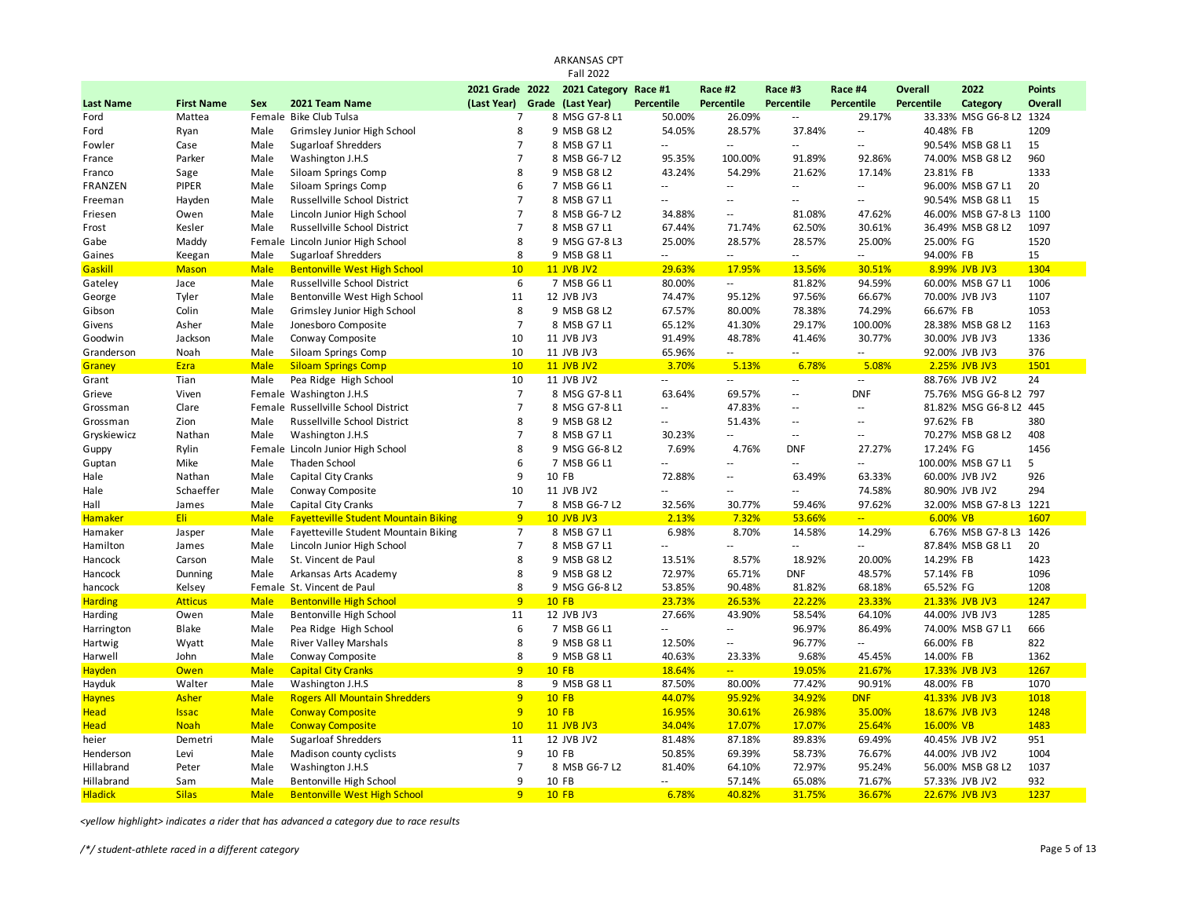|                  |                   |             |                                             |                                  | <b>ARKANSAS CPT</b>   |                          |                             |                                    |                            |                |                         |               |
|------------------|-------------------|-------------|---------------------------------------------|----------------------------------|-----------------------|--------------------------|-----------------------------|------------------------------------|----------------------------|----------------|-------------------------|---------------|
|                  |                   |             |                                             |                                  | <b>Fall 2022</b>      |                          |                             |                                    |                            |                |                         |               |
|                  |                   |             |                                             | 2021 Grade 2022                  | 2021 Category Race #1 |                          | Race #2                     | Race #3                            | Race #4                    | <b>Overall</b> | 2022                    | <b>Points</b> |
| <b>Last Name</b> | <b>First Name</b> | Sex         | 2021 Team Name                              | (Last Year)                      | Grade (Last Year)     | Percentile               | Percentile                  | <b>Percentile</b>                  | Percentile                 | Percentile     | Category                | Overall       |
| Ford             | Mattea            |             | Female Bike Club Tulsa                      | $\overline{7}$<br>8              | 8 MSG G7-8 L1         | 50.00%                   | 26.09%                      | $\overline{\phantom{a}}$           | 29.17%                     |                | 33.33% MSG G6-8 L2      | 1324<br>1209  |
| Ford             | Ryan              | Male        | Grimsley Junior High School                 |                                  | 9 MSB G8 L2           | 54.05%                   | 28.57%                      | 37.84%<br>$\sim$                   | $\overline{\phantom{a}}$   | 40.48% FB      |                         |               |
| Fowler           | Case              | Male        | <b>Sugarloaf Shredders</b>                  | $\overline{7}$<br>$\overline{7}$ | 8 MSB G7 L1           | --                       | $\sim$                      |                                    | $\ddotsc$                  |                | 90.54% MSB G8 L1        | 15            |
| France           | Parker            | Male        | Washington J.H.S                            |                                  | 8 MSB G6-7 L2         | 95.35%                   | 100.00%                     | 91.89%                             | 92.86%                     |                | 74.00% MSB G8 L2        | 960<br>1333   |
| Franco           | Sage              | Male        | Siloam Springs Comp                         | 8<br>6                           | 9 MSB G8 L2           | 43.24%                   | 54.29%                      | 21.62%                             | 17.14%<br>$\mathbb{Z}^2$   | 23.81% FB      | 96.00% MSB G7 L1        | 20            |
| FRANZEN          | PIPER             | Male        | Siloam Springs Comp                         | $\overline{7}$                   | 7 MSB G6 L1           | --<br>$\overline{a}$     | $\sim$<br>$\sim$ $\sim$     | $\overline{\phantom{a}}$<br>$\sim$ | $\sim$                     |                |                         | 15            |
| Freeman          | Hayden            | Male        | Russellville School District                |                                  | 8 MSB G7 L1           |                          |                             |                                    |                            |                | 90.54% MSB G8 L1        |               |
| Friesen          | Owen              | Male        | Lincoln Junior High School                  | $\overline{7}$                   | 8 MSB G6-7 L2         | 34.88%                   | $\sim$                      | 81.08%                             | 47.62%                     |                | 46.00% MSB G7-8 L3      | 1100          |
| Frost            | Kesler            | Male        | Russellville School District                | $\overline{7}$                   | 8 MSB G7 L1           | 67.44%                   | 71.74%                      | 62.50%                             | 30.61%                     |                | 36.49% MSB G8 L2        | 1097          |
| Gabe             | Maddy             | Female      | Lincoln Junior High School                  | 8                                | 9 MSG G7-8 L3         | 25.00%                   | 28.57%                      | 28.57%                             | 25.00%                     | 25.00% FG      |                         | 1520          |
| Gaines           | Keegan            | Male        | <b>Sugarloaf Shredders</b>                  | 8                                | 9 MSB G8 L1           | $\overline{\phantom{a}}$ | $\overline{\phantom{a}}$    | $\overline{a}$                     | $\sim$                     | 94.00% FB      |                         | 15            |
| Gaskill          | <b>Mason</b>      | <b>Male</b> | <b>Bentonville West High School</b>         | 10                               | <b>11 JVB JV2</b>     | 29.63%                   | 17.95%                      | 13.56%                             | 30.51%                     |                | 8.99% JVB JV3           | 1304          |
| Gateley          | Jace              | Male        | Russellville School District                | 6                                | 7 MSB G6 L1           | 80.00%                   | $\sim$                      | 81.82%                             | 94.59%                     |                | 60.00% MSB G7 L1        | 1006          |
| George           | Tyler             | Male        | Bentonville West High School                | 11                               | 12 JVB JV3            | 74.47%                   | 95.12%                      | 97.56%                             | 66.67%                     |                | 70.00% JVB JV3          | 1107          |
| Gibson           | Colin             | Male        | Grimsley Junior High School                 | 8                                | 9 MSB G8 L2           | 67.57%                   | 80.00%                      | 78.38%                             | 74.29%                     | 66.67% FB      |                         | 1053          |
| Givens           | Asher             | Male        | Jonesboro Composite                         | $\overline{7}$                   | 8 MSB G7 L1           | 65.12%                   | 41.30%                      | 29.17%                             | 100.00%                    |                | 28.38% MSB G8 L2        | 1163          |
| Goodwin          | Jackson           | Male        | Conway Composite                            | 10                               | 11 JVB JV3            | 91.49%                   | 48.78%                      | 41.46%                             | 30.77%                     |                | 30.00% JVB JV3          | 1336          |
| Granderson       | Noah              | Male        | Siloam Springs Comp                         | 10                               | 11 JVB JV3            | 65.96%                   | $\mathcal{L}_{\mathcal{A}}$ | ă.                                 | $\overline{\phantom{a}}$   |                | 92.00% JVB JV3          | 376           |
| Graney           | Ezra              | <b>Male</b> | <b>Siloam Springs Comp</b>                  | 10                               | <b>11 JVB JV2</b>     | 3.70%                    | 5.13%                       | 6.78%                              | 5.08%                      |                | 2.25% JVB JV3           | 1501          |
| Grant            | Tian              | Male        | Pea Ridge High School                       | 10                               | 11 JVB JV2            | $\sim$                   | $\sim$ $\sim$               | $\sim$                             | $\sim$                     |                | 88.76% JVB JV2          | 24            |
| Grieve           | Viven             |             | Female Washington J.H.S                     | $\overline{7}$                   | 8 MSG G7-8 L1         | 63.64%                   | 69.57%                      | $\sim$                             | <b>DNF</b>                 |                | 75.76% MSG G6-8 L2      | 797           |
| Grossman         | Clare             |             | Female Russellville School District         | $\overline{7}$                   | 8 MSG G7-8 L1         | $\overline{\phantom{a}}$ | 47.83%                      | $\overline{a}$                     | $\sim$ $-$                 |                | 81.82% MSG G6-8 L2 445  |               |
| Grossman         | Zion              | Male        | Russellville School District                | 8                                | 9 MSB G8 L2           | $-$                      | 51.43%                      | $-$                                | $\sim$ $\sim$              | 97.62% FB      |                         | 380           |
| Gryskiewicz      | Nathan            | Male        | Washington J.H.S                            | $\overline{7}$                   | 8 MSB G7 L1           | 30.23%                   | $\sim$                      | $\sim$ $\sim$                      | $\sim$ $\sim$              |                | 70.27% MSB G8 L2        | 408           |
| Guppy            | Rylin             |             | Female Lincoln Junior High School           | 8                                | 9 MSG G6-8 L2         | 7.69%                    | 4.76%                       | <b>DNF</b>                         | 27.27%                     | 17.24% FG      |                         | 1456          |
| Guptan           | Mike              | Male        | Thaden School                               | 6                                | 7 MSB G6 L1           | ÷.                       | u.                          | μ.                                 | $\overline{\phantom{a}}$   |                | 100.00% MSB G7 L1       | 5             |
| Hale             | Nathan            | Male        | Capital City Cranks                         | 9                                | 10 FB                 | 72.88%                   | $\sim$ $\sim$               | 63.49%                             | 63.33%                     |                | 60.00% JVB JV2          | 926           |
| Hale             | Schaeffer         | Male        | Conway Composite                            | 10                               | 11 JVB JV2            | Ξ.                       | $\sim$ $\sim$               | $\overline{a}$                     | 74.58%                     |                | 80.90% JVB JV2          | 294           |
| Hall             | James             | Male        | Capital City Cranks                         | $\overline{7}$                   | 8 MSB G6-7 L2         | 32.56%                   | 30.77%                      | 59.46%                             | 97.62%                     |                | 32.00% MSB G7-8 L3 1221 |               |
| <b>Hamaker</b>   | Eli:              | <b>Male</b> | <b>Fayetteville Student Mountain Biking</b> | 9                                | <b>10 JVB JV3</b>     | 2.13%                    | 7.32%                       | 53.66%                             | $\mathbb{Z}[\mathbb{Z}_p]$ | 6.00% VB       |                         | 1607          |
| Hamaker          | Jasper            | Male        | Fayetteville Student Mountain Biking        | $\overline{7}$                   | 8 MSB G7 L1           | 6.98%                    | 8.70%                       | 14.58%                             | 14.29%                     |                | 6.76% MSB G7-8 L3       | 1426          |
| Hamilton         | James             | Male        | Lincoln Junior High School                  | $\overline{7}$                   | 8 MSB G7 L1           | Ξ.                       | $\sim$                      | $\overline{\phantom{a}}$           | $\sim$                     |                | 87.84% MSB G8 L1        | 20            |
| Hancock          | Carson            | Male        | St. Vincent de Paul                         | 8                                | 9 MSB G8 L2           | 13.51%                   | 8.57%                       | 18.92%                             | 20.00%                     | 14.29% FB      |                         | 1423          |
| Hancock          | Dunning           | Male        | Arkansas Arts Academy                       | 8                                | 9 MSB G8 L2           | 72.97%                   | 65.71%                      | <b>DNF</b>                         | 48.57%                     | 57.14% FB      |                         | 1096          |
| hancock          | Kelsey            |             | Female St. Vincent de Paul                  | 8                                | 9 MSG G6-8 L2         | 53.85%                   | 90.48%                      | 81.82%                             | 68.18%                     | 65.52% FG      |                         | 1208          |
| <b>Harding</b>   | <b>Atticus</b>    | <b>Male</b> | <b>Bentonville High School</b>              | 9                                | $10$ FB               | 23.73%                   | 26.53%                      | 22.22%                             | 23.33%                     |                | 21.33% JVB JV3          | 1247          |
| Harding          | Owen              | Male        | Bentonville High School                     | 11                               | 12 JVB JV3            | 27.66%                   | 43.90%                      | 58.54%                             | 64.10%                     |                | 44.00% JVB JV3          | 1285          |
| Harrington       | Blake             | Male        | Pea Ridge High School                       | 6                                | 7 MSB G6 L1           | u.                       | $\mathcal{L}(\mathcal{L})$  | 96.97%                             | 86.49%                     |                | 74.00% MSB G7 L1        | 666           |
| Hartwig          | Wyatt             | Male        | <b>River Valley Marshals</b>                | 8                                | 9 MSB G8 L1           | 12.50%                   | $\sim$                      | 96.77%                             | $\sim$                     | 66.00% FB      |                         | 822           |
| Harwell          | John              | Male        | Conway Composite                            | 8                                | 9 MSB G8 L1           | 40.63%                   | 23.33%                      | 9.68%                              | 45.45%                     | 14.00% FB      |                         | 1362          |
| Hayden           | Owen              | <b>Male</b> | <b>Capital City Cranks</b>                  | 9                                | $10$ FB               | 18.64%                   | $\mathbb{Z}[\mathbb{Z}_p]$  | 19.05%                             | 21.67%                     |                | 17.33% JVB JV3          | 1267          |
| Hayduk           | Walter            | Male        | Washington J.H.S                            | 8                                | 9 MSB G8 L1           | 87.50%                   | 80.00%                      | 77.42%                             | 90.91%                     | 48.00% FB      |                         | 1070          |
| <b>Haynes</b>    | Asher             | <b>Male</b> | <b>Rogers All Mountain Shredders</b>        | 9                                | $10$ FB               | 44.07%                   | 95.92%                      | 34.92%                             | DNF                        |                | 41.33% JVB JV3          | 1018          |
| <b>Head</b>      | <b>Issac</b>      | <b>Male</b> | <b>Conway Composite</b>                     | 9                                | $10$ FB               | 16.95%                   | 30.61%                      | 26.98%                             | 35.00%                     |                | 18.67% JVB JV3          | 1248          |
| <b>Head</b>      | <b>Noah</b>       | <b>Male</b> | <b>Conway Composite</b>                     | 10                               | <b>11 JVB JV3</b>     | 34.04%                   | 17.07%                      | 17.07%                             | 25.64%                     | 16.00% VB      |                         | 1483          |
| heier            | Demetri           | Male        | <b>Sugarloaf Shredders</b>                  | 11                               | 12 JVB JV2            | 81.48%                   | 87.18%                      | 89.83%                             | 69.49%                     |                | 40.45% JVB JV2          | 951           |
| Henderson        | Levi              | Male        | Madison county cyclists                     | 9                                | 10 FB                 | 50.85%                   | 69.39%                      | 58.73%                             | 76.67%                     |                | 44.00% JVB JV2          | 1004          |
| Hillabrand       | Peter             | Male        | Washington J.H.S                            | $\overline{7}$                   | 8 MSB G6-7 L2         | 81.40%                   | 64.10%                      | 72.97%                             | 95.24%                     |                | 56.00% MSB G8 L2        | 1037          |
| Hillabrand       | Sam               | Male        | Bentonville High School                     | 9                                | 10 FB                 | Ξ.                       | 57.14%                      | 65.08%                             | 71.67%                     |                | 57.33% JVB JV2          | 932           |
| <b>Hladick</b>   | <b>Silas</b>      | <b>Male</b> | <b>Bentonville West High School</b>         | 9                                | <b>10 FB</b>          | 6.78%                    | 40.82%                      | 31.75%                             | 36.67%                     |                | 22.67% JVB JV3          | 1237          |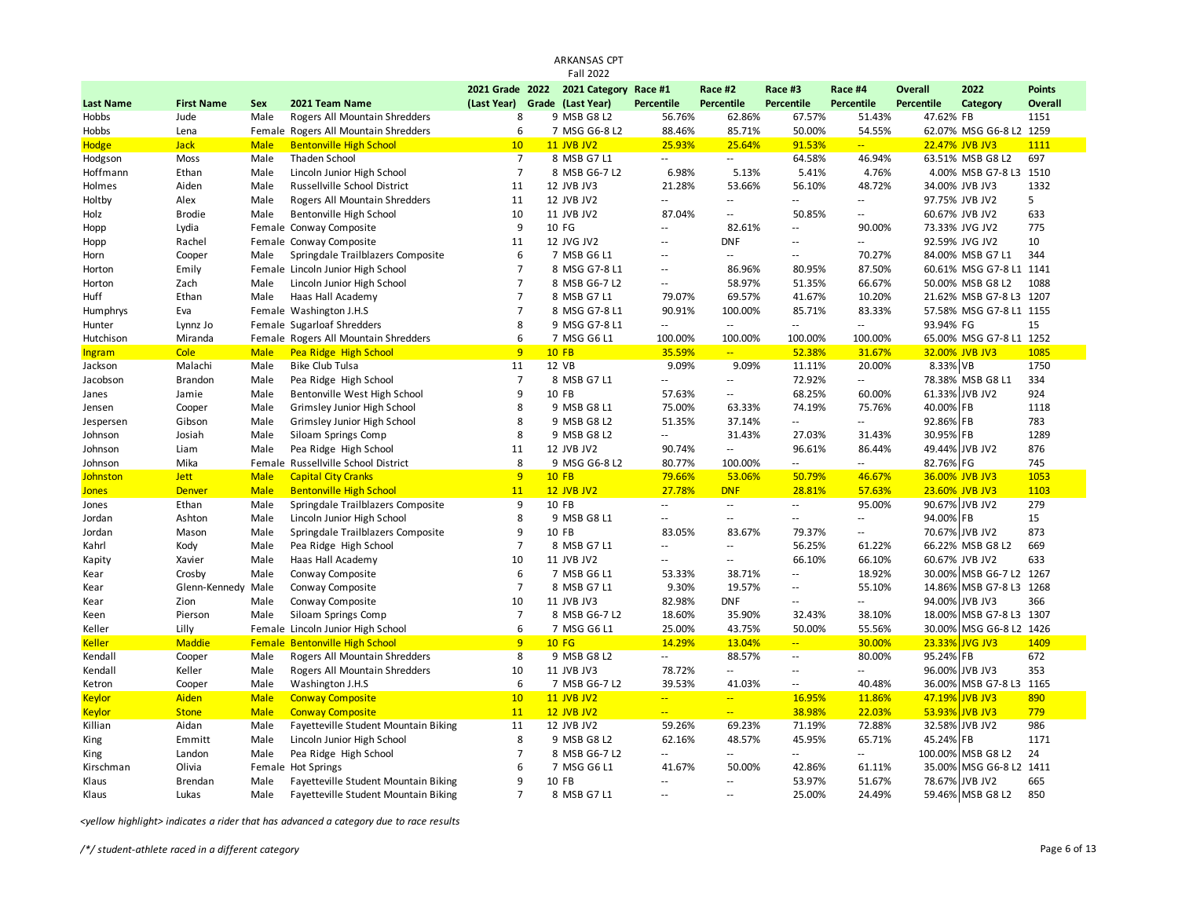|                  |                   |                            |                                            |                 | <b>Fall 2022</b>         |                                    |                          |                          |                                    |            |                                  |               |
|------------------|-------------------|----------------------------|--------------------------------------------|-----------------|--------------------------|------------------------------------|--------------------------|--------------------------|------------------------------------|------------|----------------------------------|---------------|
|                  |                   |                            |                                            | 2021 Grade 2022 | 2021 Category Race #1    |                                    | Race #2                  | Race #3                  | Race #4                            | Overall    | 2022                             | <b>Points</b> |
| <b>Last Name</b> | <b>First Name</b> | Sex                        | 2021 Team Name                             | (Last Year)     | Grade (Last Year)        | Percentile                         | Percentile               | Percentile               | Percentile                         | Percentile | Category                         | Overall       |
| Hobbs            | Jude              | Male                       | Rogers All Mountain Shredders              | 8               | 9 MSB G8 L2              | 56.76%                             | 62.86%                   | 67.57%                   | 51.43%                             | 47.62% FB  |                                  | 1151          |
| Hobbs            | Lena              |                            | Female Rogers All Mountain Shredders       | 6               | 7 MSG G6-8 L2            | 88.46%                             | 85.71%                   | 50.00%                   | 54.55%                             |            | 62.07% MSG G6-8 L2 1259          |               |
| <b>Hodge</b>     | <b>Jack</b>       | <b>Male</b>                | <b>Bentonville High School</b>             | 10              | <b>11 JVB JV2</b>        | 25.93%                             | 25.64%                   | 91.53%                   | u.                                 |            | 22.47% JVB JV3                   | 1111          |
| Hodgson          | Moss              | Male                       | Thaden School                              | $\overline{7}$  | 8 MSB G7 L1              | $\overline{\phantom{a}}$           | $\overline{a}$           | 64.58%                   | 46.94%                             |            | 63.51% MSB G8 L2                 | 697           |
| Hoffmann         | Ethan             | Male                       | Lincoln Junior High School                 | $\overline{7}$  | 8 MSB G6-7 L2            | 6.98%                              | 5.13%                    | 5.41%                    | 4.76%                              |            | 4.00% MSB G7-8 L3 1510           |               |
| Holmes           | Aiden             | Male                       | Russellville School District               | 11              | 12 JVB JV3               | 21.28%                             | 53.66%                   | 56.10%                   | 48.72%                             |            | 34.00% JVB JV3                   | 1332          |
| Holtby           | Alex              | Male                       | Rogers All Mountain Shredders              | 11              | 12 JVB JV2               | $\sim$ $\sim$                      | Ξ.                       | $\sim$ $\sim$            | $-1$                               |            | 97.75% JVB JV2                   | 5             |
| Holz             | <b>Brodie</b>     | Male                       | Bentonville High School                    | 10              | 11 JVB JV2               | 87.04%                             | Ξ.                       | 50.85%                   | $\overline{a}$                     |            | 60.67% JVB JV2                   | 633           |
| Hopp             | Lydia             |                            | Female Conway Composite                    | 9               | 10 FG                    | $\sim$                             | 82.61%                   | $\overline{\phantom{a}}$ | 90.00%                             |            | 73.33% JVG JV2                   | 775           |
| Hopp             | Rachel            |                            | Female Conway Composite                    | 11              | 12 JVG JV2               | $\sim$                             | <b>DNF</b>               | $\overline{\phantom{a}}$ | $-1$                               |            | 92.59% JVG JV2                   | 10            |
| Horn             | Cooper            | Male                       | Springdale Trailblazers Composite          | 6               | 7 MSB G6 L1              | $\sim$                             | $\sim$                   | $\sim$ $\sim$            | 70.27%                             |            | 84.00% MSB G7 L1                 | 344           |
| Horton           | Emily             |                            | Female Lincoln Junior High School          | $\overline{7}$  | 8 MSG G7-8 L1            | $\overline{\phantom{a}}$           | 86.96%                   | 80.95%                   | 87.50%                             |            | 60.61% MSG G7-8 L1 1141          |               |
| Horton           | Zach              | Male                       | Lincoln Junior High School                 | $\overline{7}$  | 8 MSB G6-7 L2            | $\sim$                             | 58.97%                   | 51.35%                   | 66.67%                             |            | 50.00% MSB G8 L2                 | 1088          |
| Huff             | Ethan             | Male                       | Haas Hall Academy                          | $\overline{7}$  | 8 MSB G7 L1              | 79.07%                             | 69.57%                   | 41.67%                   | 10.20%                             |            | 21.62% MSB G7-8 L3 1207          |               |
| Humphrys         | Eva               |                            | Female Washington J.H.S                    | $\overline{7}$  | 8 MSG G7-8 L1            | 90.91%                             | 100.00%                  | 85.71%                   | 83.33%                             |            | 57.58% MSG G7-8 L1 1155          |               |
| Hunter           | Lynnz Jo          |                            | Female Sugarloaf Shredders                 | 8               | 9 MSG G7-8 L1            | ц,                                 | $\sim$ $\sim$            | $\sim$ $\sim$            | $\overline{a}$                     | 93.94% FG  |                                  | 15            |
| Hutchison        | Miranda           |                            | Female Rogers All Mountain Shredders       | 6               | 7 MSG G6 L1              | 100.00%                            | 100.00%                  | 100.00%                  | 100.00%                            |            | 65.00% MSG G7-8 L1 1252          |               |
| Ingram           | Cole              | <b>Male</b>                | Pea Ridge High School                      | 9               | $10$ FB                  | 35.59%                             | $\mathbb{Z} \mathbb{Z}$  | 52.38%                   | 31.67%                             |            | 32.00% JVB JV3                   | 1085          |
| Jackson          | Malachi           | Male                       | <b>Bike Club Tulsa</b>                     | 11              | 12 VB                    | 9.09%                              | 9.09%                    | 11.11%                   | 20.00%                             | 8.33% VB   |                                  | 1750          |
| Jacobson         | <b>Brandon</b>    | Male                       | Pea Ridge High School                      | $\overline{7}$  | 8 MSB G7 L1              | $\ddotsc$                          | $-$                      | 72.92%                   | Щ.                                 |            | 78.38% MSB G8 L1                 | 334           |
| Janes            | Jamie             | Male                       | Bentonville West High School               | 9               | 10 FB                    | 57.63%                             | $\overline{\phantom{a}}$ | 68.25%                   | 60.00%                             |            | 61.33% JVB JV2                   | 924           |
| Jensen           | Cooper            | Male                       | Grimsley Junior High School                | 8               | 9 MSB G8 L1              | 75.00%                             | 63.33%                   | 74.19%                   | 75.76%                             | 40.00% FB  |                                  | 1118          |
| Jespersen        | Gibson            | Male                       | Grimsley Junior High School                | 8               | 9 MSB G8 L2              | 51.35%                             | 37.14%                   | $\sim$ $\sim$            | $\overline{a}$                     | 92.86% FB  |                                  | 783           |
| Johnson          | Josiah            | Male                       | Siloam Springs Comp                        | 8               | 9 MSB G8 L2              | Ξ.                                 | 31.43%                   | 27.03%                   | 31.43%                             | 30.95% FB  |                                  | 1289          |
| Johnson          | Liam              | Male                       | Pea Ridge High School                      | 11              | 12 JVB JV2               | 90.74%                             | Ξ.                       | 96.61%                   | 86.44%                             |            | 49.44% JVB JV2                   | 876           |
| Johnson          | Mika              | Female                     | Russellville School District               | 8<br>9          | 9 MSG G6-8 L2<br>$10$ FB | 80.77%                             | 100.00%<br>53.06%        | $\sim$ $\sim$            | $-$                                | 82.76% FG  |                                  | 745<br>1053   |
| Johnston         | <b>Jett</b>       | <b>Male</b><br><b>Male</b> | <b>Capital City Cranks</b>                 | 11              | <b>12 JVB JV2</b>        | 79.66%                             | <b>DNF</b>               | 50.79%<br>28.81%         | 46.67%                             |            | 36.00% JVB JV3<br>23.60% JVB JV3 | 1103          |
| <b>Jones</b>     | <b>Denver</b>     |                            | <b>Bentonville High School</b>             |                 |                          | 27.78%<br>$\overline{\phantom{a}}$ | $\sim$                   | $\sim$                   | 57.63%                             |            | 90.67% JVB JV2                   |               |
| Jones            | Ethan             | Male                       | Springdale Trailblazers Composite          | 9<br>8          | 10 FB                    | $\sim$                             | Ξ.                       | $\sim$ $\sim$            | 95.00%<br>$\overline{\phantom{a}}$ | 94.00% FB  |                                  | 279<br>15     |
| Jordan           | Ashton            | Male<br>Male               | Lincoln Junior High School                 | 9               | 9 MSB G8 L1<br>10 FB     |                                    |                          |                          | н.                                 |            | 70.67% JVB JV2                   | 873           |
| Jordan           | Mason             | Male                       | Springdale Trailblazers Composite          | $\overline{7}$  | 8 MSB G7 L1              | 83.05%<br>$\sim$ $\sim$            | 83.67%<br>$\overline{a}$ | 79.37%<br>56.25%         | 61.22%                             |            | 66.22% MSB G8 L2                 | 669           |
| Kahrl            | Kody<br>Xavier    | Male                       | Pea Ridge High School<br>Haas Hall Academy | 10              | 11 JVB JV2               | $\sim$                             | Ξ.                       | 66.10%                   | 66.10%                             |            | 60.67% JVB JV2                   | 633           |
| Kapity<br>Kear   | Crosby            | Male                       | Conway Composite                           | 6               | 7 MSB G6 L1              | 53.33%                             | 38.71%                   | $\overline{\phantom{a}}$ | 18.92%                             |            | 30.00% MSB G6-7 L2 1267          |               |
| Kear             | Glenn-Kennedy     | Male                       | Conway Composite                           | $\overline{7}$  | 8 MSB G7 L1              | 9.30%                              | 19.57%                   | $\sim$ $\sim$            | 55.10%                             |            | 14.86% MSB G7-8 L3 1268          |               |
| Kear             | Zion              | Male                       | Conway Composite                           | 10              | 11 JVB JV3               | 82.98%                             | <b>DNF</b>               | $\overline{\phantom{a}}$ | Ξ.                                 | 94.00%     | JVB JV3                          | 366           |
| Keen             | Pierson           | Male                       | Siloam Springs Comp                        | $\overline{7}$  | 8 MSB G6-7 L2            | 18.60%                             | 35.90%                   | 32.43%                   | 38.10%                             |            | 18.00% MSB G7-8 L3 1307          |               |
| Keller           | Lilly             |                            | Female Lincoln Junior High School          | 6               | 7 MSG G6 L1              | 25.00%                             | 43.75%                   | 50.00%                   | 55.56%                             |            | 30.00% MSG G6-8 L2 1426          |               |
| <b>Keller</b>    | <b>Maddie</b>     |                            | <b>Female Bentonville High School</b>      | 9               | <b>10 FG</b>             | 14.29%                             | 13.04%                   | $\omega_{\rm m}$         | 30.00%                             | 23.33%     | <b>JVG JV3</b>                   | 1409          |
| Kendall          | Cooper            | Male                       | Rogers All Mountain Shredders              | 8               | 9 MSB G8 L2              | $\overline{\phantom{a}}$           | 88.57%                   | $\sim$ $\sim$            | 80.00%                             | 95.24% FB  |                                  | 672           |
| Kendall          | Keller            | Male                       | Rogers All Mountain Shredders              | 10              | 11 JVB JV3               | 78.72%                             | $\overline{a}$           | $\overline{\phantom{a}}$ | Ξ.                                 | 96.00%     | JVB JV3                          | 353           |
| Ketron           | Cooper            | Male                       | Washington J.H.S                           | 6               | 7 MSB G6-7 L2            | 39.53%                             | 41.03%                   | $\sim$ $\sim$            | 40.48%                             | 36.00%     | MSB G7-8 L3 1165                 |               |
| <b>Keylor</b>    | Aiden             | <b>Male</b>                | <b>Conway Composite</b>                    | 10              | <b>11 JVB JV2</b>        | ÷.                                 | $\mathbb{Z} \mathbb{Z}$  | 16.95%                   | 11.86%                             | 47.19%     | <b>JVB JV3</b>                   | 890           |
| <b>Keylor</b>    | <b>Stone</b>      | <b>Male</b>                | <b>Conway Composite</b>                    | 11              | <b>12 JVB JV2</b>        | ÷.                                 | <u>.,</u>                | 38.98%                   | 22.03%                             | 53.93%     | JVB JV3                          | 779           |
| Killian          | Aidan             | Male                       | Fayetteville Student Mountain Biking       | 11              | 12 JVB JV2               | 59.26%                             | 69.23%                   | 71.19%                   | 72.88%                             |            | 32.58% JVB JV2                   | 986           |
| King             | Emmitt            | Male                       | Lincoln Junior High School                 | 8               | 9 MSB G8 L2              | 62.16%                             | 48.57%                   | 45.95%                   | 65.71%                             | 45.24%     | <b>FB</b>                        | 1171          |
| King             | Landon            | Male                       | Pea Ridge High School                      | $\overline{7}$  | 8 MSB G6-7 L2            | $\sim$                             | Ξ.                       | $\sim$ $\sim$            | $\overline{a}$                     | 100.00%    | MSB G8 L2                        | 24            |
| Kirschman        | Olivia            |                            | Female Hot Springs                         | 6               | 7 MSG G6 L1              | 41.67%                             | 50.00%                   | 42.86%                   | 61.11%                             | 35.00%     | MSG G6-8 L2 1411                 |               |
| Klaus            | Brendan           | Male                       | Fayetteville Student Mountain Biking       | 9               | 10 FB                    | $\sim$                             | ă.                       | 53.97%                   | 51.67%                             |            | 78.67% JVB JV2                   | 665           |
| Klaus            | Lukas             | Male                       | Fayetteville Student Mountain Biking       | $\overline{7}$  | 8 MSB G7 L1              | $\sim$                             | Ξ.                       | 25.00%                   | 24.49%                             |            | 59.46% MSB G8 L2                 | 850           |
|                  |                   |                            |                                            |                 |                          |                                    |                          |                          |                                    |            |                                  |               |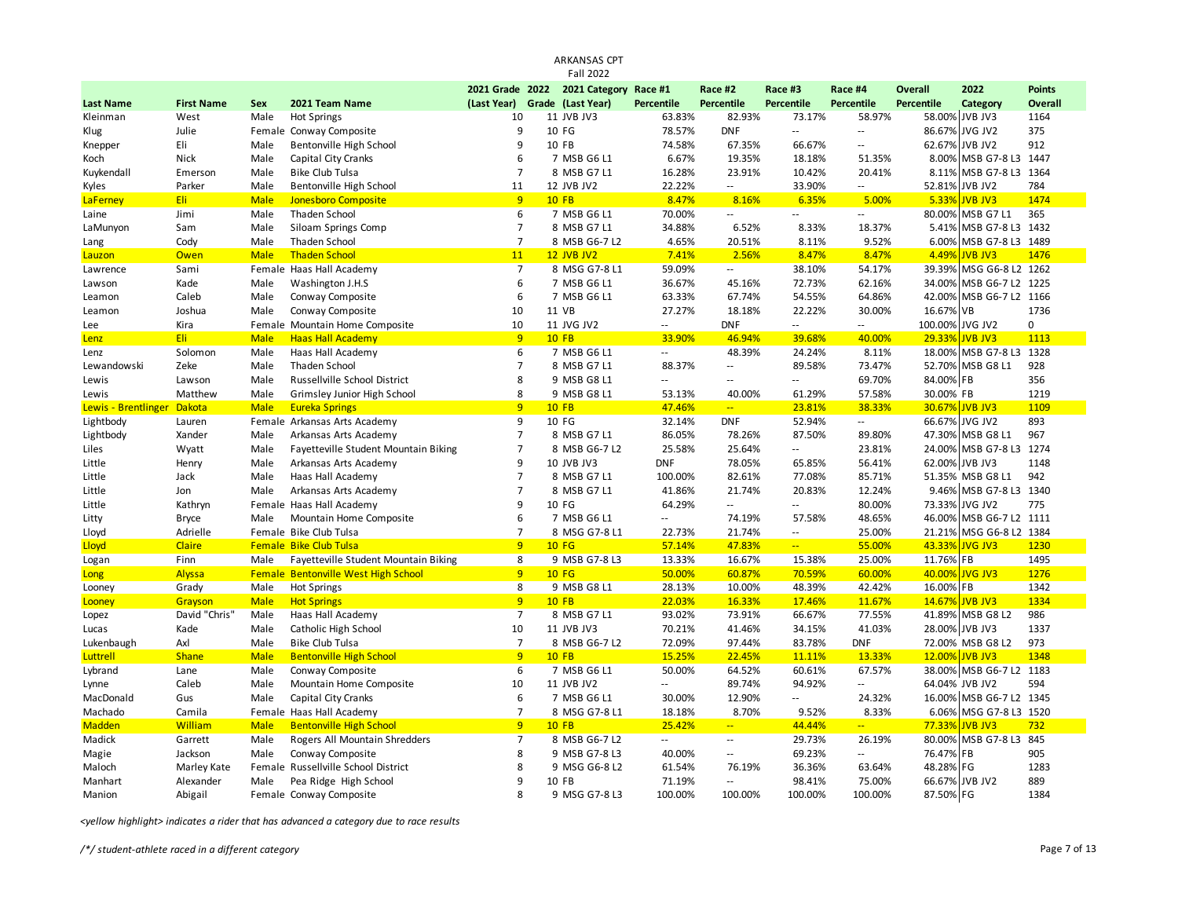|                            |                   |             |                                                |                 | ARKANSAS CPT<br><b>Fall 2022</b>   |                              |                          |                          |                   |                   |                           |                |
|----------------------------|-------------------|-------------|------------------------------------------------|-----------------|------------------------------------|------------------------------|--------------------------|--------------------------|-------------------|-------------------|---------------------------|----------------|
|                            |                   |             |                                                | 2021 Grade 2022 |                                    |                              | Race #2                  | Race #3                  | Race #4           | <b>Overall</b>    | 2022                      | <b>Points</b>  |
| <b>Last Name</b>           | <b>First Name</b> | Sex         | 2021 Team Name                                 | (Last Year)     | 2021 Category<br>Grade (Last Year) | Race #1<br><b>Percentile</b> | Percentile               | Percentile               | Percentile        | <b>Percentile</b> | Category                  | <b>Overall</b> |
| Kleinman                   | West              | Male        | <b>Hot Springs</b>                             | 10              | 11 JVB JV3                         | 63.83%                       | 82.93%                   | 73.17%                   | 58.97%            |                   | 58.00% JVB JV3            | 1164           |
| Klug                       | Julie             | Female      | Conway Composite                               | 9               | 10 FG                              | 78.57%                       | <b>DNF</b>               | $\overline{a}$           | $\sim$            | 86.67%            | JVG JV2                   | 375            |
| Knepper                    | Eli               | Male        | Bentonville High School                        | 9               | 10 FB                              | 74.58%                       | 67.35%                   | 66.67%                   | $\sim$            |                   | 62.67% JVB JV2            | 912            |
| Koch                       | Nick              | Male        | Capital City Cranks                            | 6               | 7 MSB G6 L1                        | 6.67%                        | 19.35%                   | 18.18%                   | 51.35%            |                   | 8.00% MSB G7-8 L3 1447    |                |
| Kuykendall                 | Emerson           | Male        | <b>Bike Club Tulsa</b>                         | $\overline{7}$  | 8 MSB G7 L1                        | 16.28%                       | 23.91%                   | 10.42%                   | 20.41%            | 8.11%             | MSB G7-8 L3 1364          |                |
|                            |                   | Male        |                                                |                 |                                    |                              | $\sim$                   |                          | $\sim$            |                   |                           |                |
| Kyles                      | Parker<br>Eli     | <b>Male</b> | Bentonville High School<br>Jonesboro Composite | 11<br>9         | 12 JVB JV2<br><b>10 FB</b>         | 22.22%<br>8.47%              | 8.16%                    | 33.90%<br>6.35%          | 5.00%             | 52.81%<br>5.33%   | JVB JV2<br><b>JVB JV3</b> | 784<br>1474    |
| LaFerney                   |                   | Male        |                                                | 6               |                                    | 70.00%                       |                          | $\sim$ $\sim$            |                   |                   | 80.00% MSB G7 L1          | 365            |
| Laine                      | Jimi              |             | Thaden School                                  |                 | 7 MSB G6 L1                        |                              | $\sim$ $-$               |                          | $\sim$            |                   |                           |                |
| LaMunyon                   | Sam               | Male        | Siloam Springs Comp                            | $\overline{7}$  | 8 MSB G7 L1                        | 34.88%                       | 6.52%                    | 8.33%                    | 18.37%            | 5.41%             | MSB G7-8 L3 1432          |                |
| Lang                       | Cody              | Male        | Thaden School                                  | $\overline{7}$  | 8 MSB G6-7 L2                      | 4.65%                        | 20.51%                   | 8.11%                    | 9.52%             | 6.00%             | MSB G7-8 L3 1489          |                |
| <b>Lauzon</b>              | Owen              | <b>Male</b> | <b>Thaden School</b>                           | 11              | <b>12 JVB JV2</b>                  | 7.41%                        | 2.56%                    | 8.47%                    | 8.47%             | 4.49%             | <b>JVB JV3</b>            | 1476           |
| Lawrence                   | Sami              |             | Female Haas Hall Academy                       | $\overline{7}$  | 8 MSG G7-8 L1                      | 59.09%                       | $\sim$                   | 38.10%                   | 54.17%            |                   | 39.39% MSG G6-8 L2 1262   |                |
| Lawson                     | Kade              | Male        | Washington J.H.S                               | 6               | 7 MSB G6 L1                        | 36.67%                       | 45.16%                   | 72.73%                   | 62.16%            | 34.00%            | MSB G6-7 L2 1225          |                |
| Leamon                     | Caleb             | Male        | Conway Composite                               | 6               | 7 MSB G6 L1                        | 63.33%                       | 67.74%                   | 54.55%                   | 64.86%            | 42.00%            | MSB G6-7 L2 1166          |                |
| Leamon                     | Joshua            | Male        | Conway Composite                               | 10              | 11 VB                              | 27.27%                       | 18.18%                   | 22.22%                   | 30.00%            | 16.67%            | <b>VB</b>                 | 1736           |
| Lee                        | Kira              |             | Female Mountain Home Composite                 | 10              | 11 JVG JV2                         | $\overline{a}$               | <b>DNF</b>               | $\overline{a}$           |                   | 100.00%           | JVG JV2                   | 0              |
| Lenz                       | Eli               | <b>Male</b> | <b>Haas Hall Academy</b>                       | 9               | <b>10 FB</b>                       | 33.90%                       | 46.94%                   | 39.68%                   | 40.00%            |                   | 29.33% JVB JV3            | 1113           |
| Lenz                       | Solomon           | Male        | Haas Hall Academy                              | 6               | 7 MSB G6 L1                        | Ξ.                           | 48.39%                   | 24.24%                   | 8.11%             |                   | 18.00% MSB G7-8 L3        | 1328           |
| Lewandowski                | Zeke              | Male        | <b>Thaden School</b>                           | $\overline{7}$  | 8 MSB G7 L1                        | 88.37%                       | $\sim$                   | 89.58%                   | 73.47%            | 52.70%            | MSB G8 L1                 | 928            |
| Lewis                      | Lawson            | Male        | Russellville School District                   | 8               | 9 MSB G8 L1                        | Ξ.                           | $\sim$ $-$               | Щ.                       | 69.70%            | 84.00% FB         |                           | 356            |
| Lewis                      | Matthew           | Male        | Grimsley Junior High School                    | 8               | 9 MSB G8 L1                        | 53.13%                       | 40.00%                   | 61.29%                   | 57.58%            | 30.00% FB         |                           | 1219           |
| Lewis - Brentlinger Dakota |                   | <b>Male</b> | <b>Eureka Springs</b>                          | 9               | <b>10 FB</b>                       | 47.46%                       | $\rightarrow$            | 23.81%                   | 38.33%            |                   | 30.67% JVB JV3            | 1109           |
| Lightbody                  | Lauren            |             | Female Arkansas Arts Academy                   | 9               | 10 FG                              | 32.14%                       | <b>DNF</b>               | 52.94%                   | $\sim$            |                   | 66.67% JVG JV2            | 893            |
| Lightbody                  | Xander            | Male        | Arkansas Arts Academy                          | $\overline{7}$  | 8 MSB G7 L1                        | 86.05%                       | 78.26%                   | 87.50%                   | 89.80%            |                   | 47.30% MSB G8 L1          | 967            |
| Liles                      | Wyatt             | Male        | Fayetteville Student Mountain Biking           | $\overline{7}$  | 8 MSB G6-7 L2                      | 25.58%                       | 25.64%                   | --                       | 23.81%            |                   | 24.00% MSB G7-8 L3 1274   |                |
| Little                     | Henry             | Male        | Arkansas Arts Academy                          | 9               | 10 JVB JV3                         | <b>DNF</b>                   | 78.05%                   | 65.85%                   | 56.41%            |                   | 62.00% JVB JV3            | 1148           |
| Little                     | Jack              | Male        | Haas Hall Academy                              | $\overline{7}$  | 8 MSB G7 L1                        | 100.00%                      | 82.61%                   | 77.08%                   | 85.71%            |                   | 51.35% MSB G8 L1          | 942            |
| Little                     | Jon               | Male        | Arkansas Arts Academy                          | $\overline{7}$  | 8 MSB G7 L1                        | 41.86%                       | 21.74%                   | 20.83%                   | 12.24%            |                   | 9.46% MSB G7-8 L3 1340    |                |
| Little                     | Kathryn           |             | Female Haas Hall Academy                       | 9               | 10 FG                              | 64.29%                       | $\overline{\phantom{a}}$ | Щ.                       | 80.00%            |                   | 73.33% JVG JV2            | 775            |
| Litty                      | <b>Bryce</b>      | Male        | Mountain Home Composite                        | 6               | 7 MSB G6 L1                        | Ξ.                           | 74.19%                   | 57.58%                   | 48.65%            |                   | 46.00% MSB G6-7 L2 1111   |                |
| Lloyd                      | Adrielle          |             | Female Bike Club Tulsa                         | $\overline{7}$  | 8 MSG G7-8 L1                      | 22.73%                       | 21.74%                   | $\overline{\phantom{a}}$ | 25.00%            | 21.21%            | MSG G6-8 L2 1384          |                |
| Lloyd                      | Claire            |             | <b>Female Bike Club Tulsa</b>                  | 9               | <b>10 FG</b>                       | 57.14%                       | 47.83%                   | $\sim$                   | 55.00%            | 43.33%            | <b>JVG JV3</b>            | 1230           |
| Logan                      | Finn              | Male        | Fayetteville Student Mountain Biking           | 8               | 9 MSB G7-8 L3                      | 13.33%                       | 16.67%                   | 15.38%                   | 25.00%            | 11.76% FB         |                           | 1495           |
| <b>Long</b>                | Alyssa            |             | Female Bentonville West High School            | 9               | <b>10 FG</b>                       | 50.00%                       | 60.87%                   | 70.59%                   | 60.00%            | 40.00%            | <b>JVG JV3</b>            | 1276           |
| Looney                     | Grady             | Male        | <b>Hot Springs</b>                             | 8               | 9 MSB G8 L1                        | 28.13%                       | 10.00%                   | 48.39%                   | 42.42%            | 16.00% FB         |                           | 1342           |
| Looney                     | Grayson           | <b>Male</b> | <b>Hot Springs</b>                             | 9               | $10$ FB                            | 22.03%                       | 16.33%                   | 17.46%                   | 11.67%            | 14.67%            | <b>JVB JV3</b>            | 1334           |
| Lopez                      | David "Chris"     | Male        | Haas Hall Academy                              | $\overline{7}$  | 8 MSB G7 L1                        | 93.02%                       | 73.91%                   | 66.67%                   | 77.55%            |                   | 41.89% MSB G8 L2          | 986            |
| Lucas                      | Kade              | Male        | Catholic High School                           | 10              | 11 JVB JV3                         | 70.21%                       | 41.46%                   | 34.15%                   | 41.03%            |                   | 28.00% JVB JV3            | 1337           |
| Lukenbaugh                 | Axl               | Male        | Bike Club Tulsa                                | $\overline{7}$  | 8 MSB G6-7 L2                      | 72.09%                       | 97.44%                   | 83.78%                   | <b>DNF</b>        |                   | 72.00% MSB G8 L2          | 973            |
| Luttrell                   | <b>Shane</b>      | <b>Male</b> | <b>Bentonville High School</b>                 | 9               | $10$ FB                            | 15.25%                       | 22.45%                   | 11.11%                   | 13.33%            |                   | 12.00% JVB JV3            | 1348           |
| Lybrand                    | Lane              | Male        | Conway Composite                               | 6               | 7 MSB G6 L1                        | 50.00%                       | 64.52%                   | 60.61%                   | 67.57%            |                   | 38.00% MSB G6-7 L2        | 1183           |
| Lynne                      | Caleb             | Male        | Mountain Home Composite                        | 10              | 11 JVB JV2                         | Ξ.                           | 89.74%                   | 94.92%                   | $\sim$            |                   | 64.04% JVB JV2            | 594            |
| MacDonald                  | Gus               | Male        | Capital City Cranks                            | 6               | 7 MSB G6 L1                        | 30.00%                       | 12.90%                   | $\overline{\phantom{a}}$ | 24.32%            |                   | 16.00% MSB G6-7 L2 1345   |                |
| Machado                    | Camila            | Female      | Haas Hall Academy                              | $\overline{7}$  | 8 MSG G7-8 L1                      | 18.18%                       | 8.70%                    | 9.52%                    | 8.33%             | 6.06%             | MSG G7-8 L3 1520          |                |
| <b>Madden</b>              | William           | <b>Male</b> | <b>Bentonville High School</b>                 | 9               | <b>10 FB</b>                       | 25.42%                       | $\sim$                   | 44.44%                   | $\omega_{\rm{m}}$ | 77.33%            | <b>JVB JV3</b>            | 732            |
| Madick                     | Garrett           | Male        | Rogers All Mountain Shredders                  | $\overline{7}$  | 8 MSB G6-7 L2                      | $\ddotsc$                    | $\sim$ $\sim$            | 29.73%                   | 26.19%            |                   | 80.00% MSB G7-8 L3        | 845            |
| Magie                      | Jackson           | Male        | Conway Composite                               | 8               | 9 MSB G7-8 L3                      | 40.00%                       | $\sim$                   | 69.23%                   | $\sim$ $\sim$     | 76.47%            | FB                        | 905            |
| Maloch                     | Marley Kate       |             | Female Russellville School District            | 8               | 9 MSG G6-8 L2                      | 61.54%                       | 76.19%                   | 36.36%                   | 63.64%            | 48.28%            | FG                        | 1283           |
| Manhart                    | Alexander         | Male        | Pea Ridge High School                          | 9               | 10 FB                              | 71.19%                       | $\overline{\phantom{a}}$ | 98.41%                   | 75.00%            |                   | 66.67% JVB JV2            | 889            |
| Manion                     | Abigail           |             | Female Conway Composite                        | 8               | 9 MSG G7-8 L3                      | 100.00%                      | 100.00%                  | 100.00%                  | 100.00%           | 87.50% FG         |                           | 1384           |
|                            |                   |             |                                                |                 |                                    |                              |                          |                          |                   |                   |                           |                |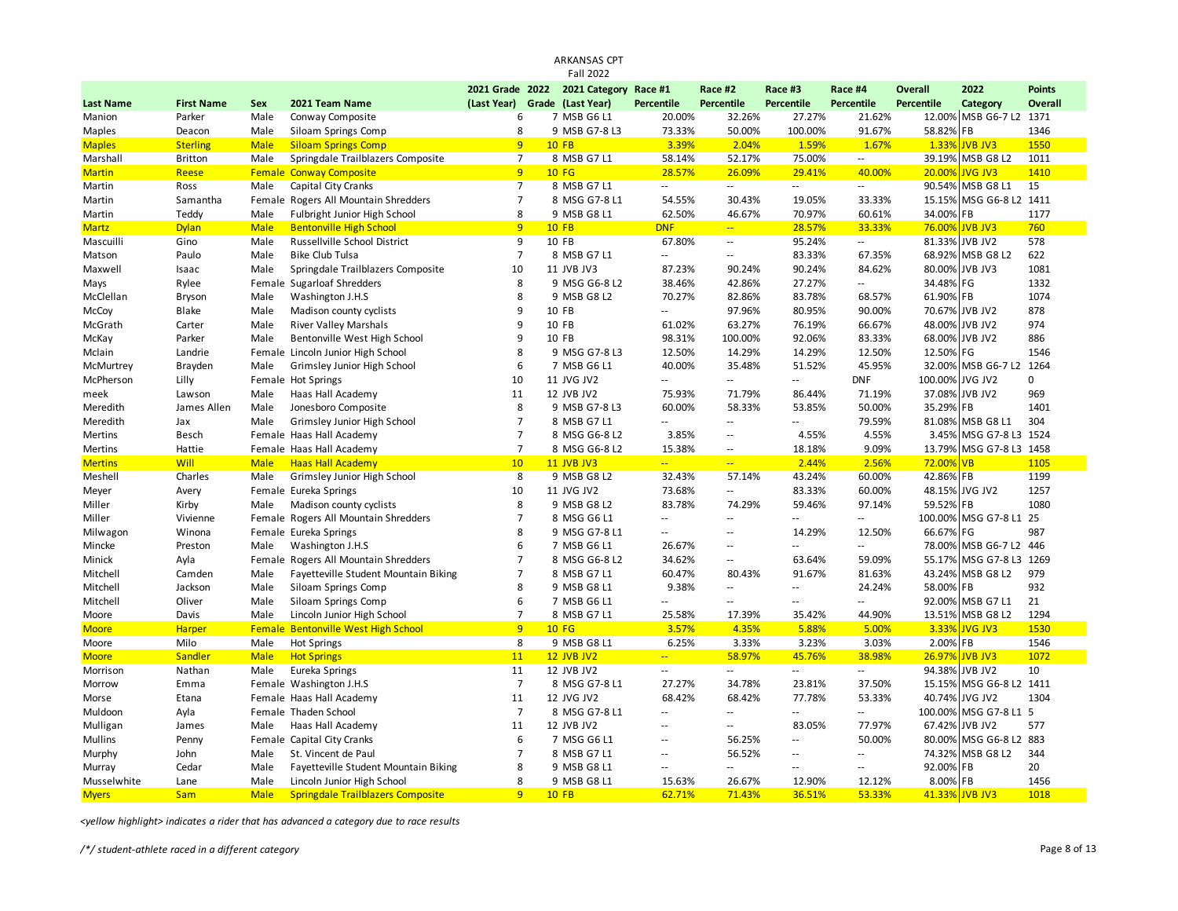|                  |                   |             |                                          |                 | <b>Fall 2022</b>  |                             |                             |                |                          |                |                         |                |
|------------------|-------------------|-------------|------------------------------------------|-----------------|-------------------|-----------------------------|-----------------------------|----------------|--------------------------|----------------|-------------------------|----------------|
|                  |                   |             |                                          | 2021 Grade 2022 | 2021 Category     | Race #1                     | Race #2                     | Race #3        | Race #4                  | <b>Overall</b> | 2022                    | <b>Points</b>  |
| <b>Last Name</b> | <b>First Name</b> | Sex         | 2021 Team Name                           | (Last Year)     | Grade (Last Year) | Percentile                  | Percentile                  | Percentile     | Percentile               | Percentile     | Category                | <b>Overall</b> |
| Manion           | Parker            | Male        | Conway Composite                         | 6               | 7 MSB G6 L1       | 20.00%                      | 32.26%                      | 27.27%         | 21.62%                   |                | 12.00% MSB G6-7 L2 1371 |                |
| Maples           | Deacon            | Male        | Siloam Springs Comp                      | 8               | 9 MSB G7-8 L3     | 73.33%                      | 50.00%                      | 100.00%        | 91.67%                   | 58.82%         | FB                      | 1346           |
| <b>Maples</b>    | <b>Sterling</b>   | <b>Male</b> | <b>Siloam Springs Comp</b>               | 9               | <b>10 FB</b>      | 3.39%                       | 2.04%                       | 1.59%          | 1.67%                    | 1.33%          | <b>JVB JV3</b>          | 1550           |
| Marshall         | <b>Britton</b>    | Male        | Springdale Trailblazers Composite        | $\overline{7}$  | 8 MSB G7 L1       | 58.14%                      | 52.17%                      | 75.00%         | $\sim$                   | 39.19%         | MSB G8L2                | 1011           |
| <b>Martin</b>    | Reese             | Female      | <b>Conway Composite</b>                  | 9               | <b>10 FG</b>      | 28.57%                      | 26.09%                      | 29.41%         | 40.00%                   | 20.00%         | <b>JVG JV3</b>          | 1410           |
| Martin           | Ross              | Male        | Capital City Cranks                      | $\overline{7}$  | 8 MSB G7 L1       | $\mathcal{L}_{\mathcal{A}}$ | $\mathcal{L}^{\mathcal{L}}$ | $\sim$ $\sim$  | $-1$                     | 90.54%         | MSB G8 L1               | 15             |
| Martin           | Samantha          |             | Female Rogers All Mountain Shredders     | $\overline{7}$  | 8 MSG G7-8 L1     | 54.55%                      | 30.43%                      | 19.05%         | 33.33%                   | 15.15%         | MSG G6-8 L2 1411        |                |
| Martin           | Teddy             | Male        | Fulbright Junior High School             | 8               | 9 MSB G8 L1       | 62.50%                      | 46.67%                      | 70.97%         | 60.61%                   | 34.00%         | FB                      | 1177           |
| <b>Martz</b>     | <b>Dylan</b>      | <b>Male</b> | <b>Bentonville High School</b>           | 9               | <b>10 FB</b>      | <b>DNF</b>                  | $\mathbb{Z}[\mathbb{Z}_p]$  | 28.57%         | 33.33%                   | 76.00%         | <b>JVB JV3</b>          | 760            |
| Mascuilli        | Gino              | Male        | Russellville School District             | 9               | 10 FB             | 67.80%                      | $\overline{\phantom{a}}$    | 95.24%         | Щ.                       | 81.33%         | JVB JV2                 | 578            |
| Matson           | Paulo             | Male        | <b>Bike Club Tulsa</b>                   | $\overline{7}$  | 8 MSB G7 L1       | $\mathbb{Z}^2$              | --                          | 83.33%         | 67.35%                   | 68.92%         | MSB G8 L2               | 622            |
| Maxwell          | Isaac             | Male        | Springdale Trailblazers Composite        | 10              | 11 JVB JV3        | 87.23%                      | 90.24%                      | 90.24%         | 84.62%                   |                | 80.00% JVB JV3          | 1081           |
| Mays             | Rylee             | Female      | Sugarloaf Shredders                      | 8               | 9 MSG G6-8 L2     | 38.46%                      | 42.86%                      | 27.27%         | $-1$                     | 34.48%         | FG                      | 1332           |
| McClellan        | Bryson            | Male        | Washington J.H.S                         | 8               | 9 MSB G8 L2       | 70.27%                      | 82.86%                      | 83.78%         | 68.57%                   | 61.90%         | FB                      | 1074           |
| McCoy            | <b>Blake</b>      | Male        | Madison county cyclists                  | $\mathbf{q}$    | 10 FB             | $\sim$ $\sim$               | 97.96%                      | 80.95%         | 90.00%                   | 70.67%         | JVB JV2                 | 878            |
| McGrath          | Carter            | Male        | <b>River Valley Marshals</b>             | 9               | 10 FB             | 61.02%                      | 63.27%                      | 76.19%         | 66.67%                   | 48.00%         | JVB JV2                 | 974            |
| McKay            | Parker            | Male        | Bentonville West High School             | q               | 10 FB             | 98.31%                      | 100.00%                     | 92.06%         | 83.33%                   |                | 68.00% JVB JV2          | 886            |
| Mclain           | Landrie           |             | Female Lincoln Junior High School        | 8               | 9 MSG G7-8 L3     | 12.50%                      | 14.29%                      | 14.29%         | 12.50%                   | 12.50%         | FG                      | 1546           |
| McMurtrey        | Brayden           | Male        | Grimsley Junior High School              | 6               | 7 MSB G6 L1       | 40.00%                      | 35.48%                      | 51.52%         | 45.95%                   | 32.00%         | MSB G6-7 L2             | 1264           |
| McPherson        | Lilly             |             | Female Hot Springs                       | 10              | 11 JVG JV2        | $\sim$                      | ÷.                          | $\sim$ $\sim$  | <b>DNF</b>               | 100.00%        | JVG JV2                 | 0              |
| meek             | Lawson            | Male        | Haas Hall Academy                        | 11              | 12 JVB JV2        | 75.93%                      | 71.79%                      | 86.44%         | 71.19%                   | 37.08%         | JVB JV2                 | 969            |
| Meredith         | James Allen       | Male        | Jonesboro Composite                      | 8               | 9 MSB G7-8 L3     | 60.00%                      | 58.33%                      | 53.85%         | 50.00%                   | 35.29%         | <b>FB</b>               | 1401           |
| Meredith         | Jax               | Male        | Grimsley Junior High School              | $\overline{7}$  | 8 MSB G7 L1       | $\sim$ $\sim$               | Ξ.                          | $\overline{a}$ | 79.59%                   |                | 81.08% MSB G8 L1        | 304            |
| Mertins          | Besch             |             | Female Haas Hall Academy                 | $\overline{7}$  | 8 MSG G6-8 L2     | 3.85%                       | $\overline{\phantom{a}}$    | 4.55%          | 4.55%                    | 3.45%          | MSG G7-8 L3 1524        |                |
| Mertins          | Hattie            |             | Female Haas Hall Academy                 | $\overline{7}$  | 8 MSG G6-8 L2     | 15.38%                      | $\overline{\phantom{a}}$    | 18.18%         | 9.09%                    | 13.79%         | MSG G7-8 L3 1458        |                |
| <b>Mertins</b>   | <b>Will</b>       | <b>Male</b> | <b>Haas Hall Academy</b>                 | 10              | <b>11 JVB JV3</b> | $\mathbb{Z}[\mathbb{Z}_p]$  | u,                          | 2.44%          | 2.56%                    | 72.00%         | <b>VB</b>               | 1105           |
| Meshell          | Charles           | Male        | Grimsley Junior High School              | 8               | 9 MSB G8 L2       | 32.43%                      | 57.14%                      | 43.24%         | 60.00%                   | 42.86%         | <b>FB</b>               | 1199           |
| Meyer            | Avery             |             | Female Eureka Springs                    | 10              | 11 JVG JV2        | 73.68%                      | $\ddotsc$                   | 83.33%         | 60.00%                   |                | 48.15% JVG JV2          | 1257           |
| Miller           | Kirby             | Male        | Madison county cyclists                  | 8               | 9 MSB G8 L2       | 83.78%                      | 74.29%                      | 59.46%         | 97.14%                   | 59.52% FB      |                         | 1080           |
| Miller           | Vivienne          |             | Female Rogers All Mountain Shredders     | $\overline{7}$  | 8 MSG G6 L1       | $\sim$                      | ۵.                          | $\sim$         | $\sim$                   |                | 100.00% MSG G7-8 L1 25  |                |
| Milwagon         | Winona            |             | Female Eureka Springs                    | 8               | 9 MSG G7-8 L1     | $\sim$                      | $\sim$ $\sim$               | 14.29%         | 12.50%                   | 66.67%         | FG                      | 987            |
| Mincke           | Preston           | Male        | Washington J.H.S                         | 6               | 7 MSB G6 L1       | 26.67%                      | ۵.                          | $-$            | $\overline{\phantom{a}}$ | 78.00%         | MSB G6-7 L2             | 446            |
| Minick           | Ayla              |             | Female Rogers All Mountain Shredders     | $\overline{7}$  | 8 MSG G6-8 L2     | 34.62%                      | $\overline{\phantom{a}}$    | 63.64%         | 59.09%                   | 55.17%         | MSG G7-8 L3             | 1269           |
| Mitchell         | Camden            | Male        | Fayetteville Student Mountain Biking     | $\overline{7}$  | 8 MSB G7 L1       | 60.47%                      | 80.43%                      | 91.67%         | 81.63%                   |                | 43.24% MSB G8 L2        | 979            |
| Mitchell         | Jackson           | Male        | Siloam Springs Comp                      | 8               | 9 MSB G8 L1       | 9.38%                       | Ξ.                          | $\sim$ $\sim$  | 24.24%                   | 58.00%         | <b>FB</b>               | 932            |
| Mitchell         | Oliver            | Male        | Siloam Springs Comp                      | 6               | 7 MSB G6 L1       | $\sim$                      | ٠.                          | $\sim$ $\sim$  | $\overline{a}$           | 92.00%         | MSB G7 L1               | 21             |
| Moore            | Davis             | Male        | Lincoln Junior High School               | $\overline{7}$  | 8 MSB G7 L1       | 25.58%                      | 17.39%                      | 35.42%         | 44.90%                   | 13.51%         | MSB G8 L2               | 1294           |
| <b>Moore</b>     | <b>Harper</b>     |             | Female Bentonville West High School      | 9               | <b>10 FG</b>      | 3.57%                       | 4.35%                       | 5.88%          | 5.00%                    | 3.33%          | <b>JVG JV3</b>          | 1530           |
| Moore            | Milo              | Male        | <b>Hot Springs</b>                       | 8               | 9 MSB G8 L1       | 6.25%                       | 3.33%                       | 3.23%          | 3.03%                    | 2.00%          | FB                      | 1546           |
| <b>Moore</b>     | Sandler           | <b>Male</b> | <b>Hot Springs</b>                       | 11              | <b>12 JVB JV2</b> | $\mathbb{Z}[\mathbb{Z}_p]$  | 58.97%                      | 45.76%         | 38.98%                   | 26.97%         | <b>JVB JV3</b>          | 1072           |
| Morrison         | Nathan            | Male        | Eureka Springs                           | 11              | 12 JVB JV2        | $\overline{\phantom{a}}$    | Ξ.                          | $\sim$ $\sim$  | $\overline{a}$           | 94.38%         | JVB JV2                 | 10             |
| Morrow           | Emma              |             | Female Washington J.H.S                  | $\overline{7}$  | 8 MSG G7-8 L1     | 27.27%                      | 34.78%                      | 23.81%         | 37.50%                   | 15.15%         | MSG G6-8 L2 1411        |                |
| Morse            | Etana             |             | Female Haas Hall Academy                 | 11              | 12 JVG JV2        | 68.42%                      | 68.42%                      | 77.78%         | 53.33%                   | 40.74%         | JVG JV2                 | 1304           |
| Muldoon          | Ayla              |             | Female Thaden School                     | $\overline{7}$  | 8 MSG G7-8 L1     | 44                          | ۵.                          | Ξ.             | $\overline{\phantom{a}}$ | 100.00%        | MSG G7-8 L1 5           |                |
| Mulligan         | James             | Male        | Haas Hall Academy                        | 11              | 12 JVB JV2        | $\sim$                      | 44                          | 83.05%         | 77.97%                   | 67.42%         | JVB JV2                 | 577            |
| Mullins          | Penny             |             | Female Capital City Cranks               | 6               | 7 MSG G6 L1       | $\sim$                      | 56.25%                      | $\sim$         | 50.00%                   |                | 80.00% MSG G6-8 L2 883  |                |
| Murphy           | John              | Male        | St. Vincent de Paul                      | $\overline{7}$  | 8 MSB G7 L1       | $\sim$                      | 56.52%                      | $\sim$ $\sim$  | $\sim$                   | 74.32%         | MSB G8 L2               | 344            |
| Murray           | Cedar             | Male        | Fayetteville Student Mountain Biking     | 8               | 9 MSB G8 L1       | $\sim$                      | 44                          | $\sim$ $\sim$  | $- -$                    | 92.00%         | FB                      | 20             |
| Musselwhite      | Lane              | Male        | Lincoln Junior High School               | 8               | 9 MSB G8 L1       | 15.63%                      | 26.67%                      | 12.90%         | 12.12%                   | 8.00% FB       |                         | 1456           |
| <b>Myers</b>     | <b>Sam</b>        | <b>Male</b> | <b>Springdale Trailblazers Composite</b> | $\mathbf{q}$    | $10$ FB           | 62.71%                      | 71.43%                      | 36.51%         | 53.33%                   | 41.33%         | JVB JV3                 | 1018           |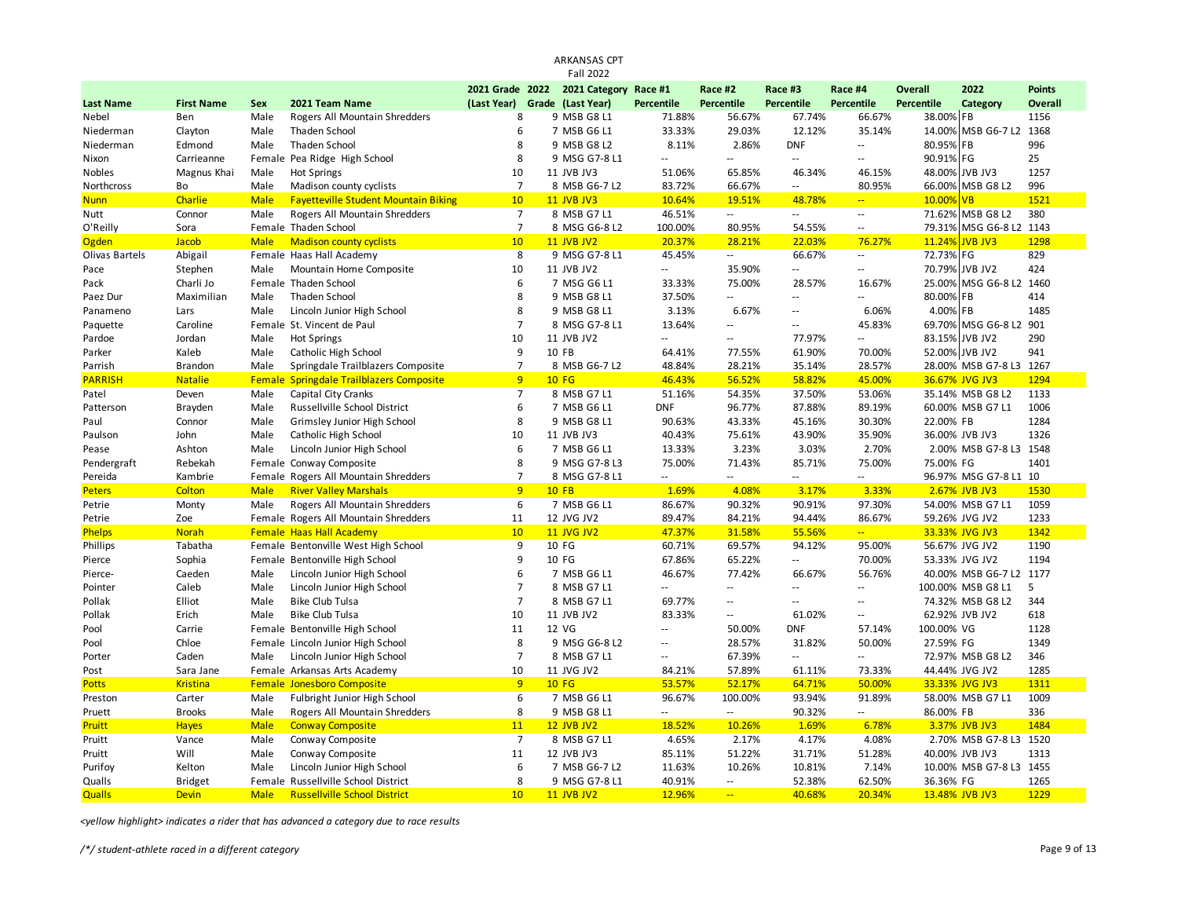|                  |                   |                     |                                                 |                 | ARKANSAS CPT          |                   |                  |                          |                          |                   |                                    |               |
|------------------|-------------------|---------------------|-------------------------------------------------|-----------------|-----------------------|-------------------|------------------|--------------------------|--------------------------|-------------------|------------------------------------|---------------|
|                  |                   |                     |                                                 |                 | <b>Fall 2022</b>      |                   |                  |                          |                          |                   |                                    |               |
|                  |                   |                     |                                                 | 2021 Grade 2022 | 2021 Category Race #1 |                   | Race #2          | Race #3                  | Race #4                  | <b>Overall</b>    | 2022                               | <b>Points</b> |
| <b>Last Name</b> | <b>First Name</b> | Sex                 | 2021 Team Name                                  | (Last Year)     | Grade (Last Year)     | <b>Percentile</b> | Percentile       | Percentile               | Percentile               | <b>Percentile</b> | Category                           | Overall       |
| Nebel            | Ben               | Male                | Rogers All Mountain Shredders                   | 8               | 9 MSB G8 L1           | 71.88%            | 56.67%           | 67.74%                   | 66.67%                   | 38.00% FB         |                                    | 1156          |
| Niederman        | Clayton           | Male                | <b>Thaden School</b>                            | 6               | 7 MSB G6 L1           | 33.33%            | 29.03%           | 12.12%                   | 35.14%                   | 14.00%            | MSB G6-7 L2                        | 1368          |
| Niederman        | Edmond            | Male                | <b>Thaden School</b>                            | 8               | 9 MSB G8 L2           | 8.11%             | 2.86%            | <b>DNF</b>               | $\overline{\phantom{a}}$ | 80.95%            | FB                                 | 996           |
| Nixon            | Carrieanne        |                     | Female Pea Ridge High School                    | 8               | 9 MSG G7-8 L1         | --                | $\sim$ $\sim$    | $-$                      | $\sim$ $\sim$            | 90.91%            | FG                                 | 25            |
| Nobles           | Magnus Khai       | Male                | Hot Springs                                     | 10              | 11 JVB JV3            | 51.06%            | 65.85%           | 46.34%                   | 46.15%                   | 48.00%            | JVB JV3                            | 1257          |
| Northcross       | Bo                | Male                | Madison county cyclists                         | $\overline{7}$  | 8 MSB G6-7 L2         | 83.72%            | 66.67%           | ٠.                       | 80.95%                   | 66.00%            | MSB G8 L2                          | 996           |
| <b>Nunn</b>      | Charlie           | <b>Male</b>         | <b>Fayetteville Student Mountain Biking</b>     | 10              | <b>11 JVB JV3</b>     | 10.64%            | 19.51%           | 48.78%                   | $\mathbb{Z}$ .           | 10.00%            | <b>VB</b>                          | 1521          |
| Nutt             | Connor            | Male                | Rogers All Mountain Shredders                   | $\overline{7}$  | 8 MSB G7 L1           | 46.51%            | $\sim$           | $\overline{\phantom{a}}$ | $\sim$ $\sim$            | 71.62%            | MSB G8 L2                          | 380           |
| O'Reilly         | Sora              |                     | Female Thaden School                            | $\overline{7}$  | 8 MSG G6-8 L2         | 100.00%           | 80.95%           | 54.55%                   | $\sim$                   | 79.31%            | MSG G6-8 L2                        | 1143          |
| <b>Ogden</b>     | Jacob             | <b>Male</b>         | <b>Madison county cyclists</b>                  | 10              | <b>11 JVB JV2</b>     | 20.37%            | 28.21%           | 22.03%                   | 76.27%                   | 11.24%            | <b>JVB JV3</b>                     | 1298          |
| Olivas Bartels   | Abigail           |                     | Female Haas Hall Academy                        | 8               | 9 MSG G7-8 L1         | 45.45%            | $\sim$ $-$       | 66.67%                   | $\sim$                   | 72.73%            | FG                                 | 829           |
| Pace             | Stephen           | Male                | Mountain Home Composite                         | 10              | 11 JVB JV2            | Ξ.                | 35.90%           | $\overline{\phantom{a}}$ | $\sim$                   | 70.79%            | JVB JV2                            | 424           |
| Pack             | Charli Jo         |                     | Female Thaden School                            | 6               | 7 MSG G6 L1           | 33.33%            | 75.00%           | 28.57%                   | 16.67%                   | 25.00%            | MSG G6-8 L2                        | 1460          |
| Paez Dur         | Maximilian        | Male                | <b>Thaden School</b>                            | 8               | 9 MSB G8 L1           | 37.50%            | $\sim$           | $\overline{\phantom{a}}$ | $\overline{\phantom{a}}$ | 80.00%            | FB                                 | 414           |
| Panameno         | Lars              | Male                | Lincoln Junior High School                      | 8               | 9 MSB G8 L1           | 3.13%             | 6.67%            | $\overline{a}$           | 6.06%                    | 4.00%             | FB                                 | 1485          |
| Paquette         | Caroline          |                     | Female St. Vincent de Paul                      | $\overline{7}$  | 8 MSG G7-8 L1         | 13.64%            | $\sim$ $\sim$    | $\overline{a}$           | 45.83%                   | 69.70%            | MSG G6-8 L2                        | 901           |
| Pardoe           | Jordan            | Male                | <b>Hot Springs</b>                              | 10              | 11 JVB JV2            | u.                | $\sim$ $\sim$    | 77.97%                   | $\sim$                   |                   | 83.15% JVB JV2                     | 290           |
| Parker           | Kaleb             | Male                | Catholic High School                            | 9               | 10 FB                 | 64.41%            | 77.55%           | 61.90%                   | 70.00%                   |                   | 52.00% JVB JV2                     | 941           |
| Parrish          | <b>Brandon</b>    | Male                | Springdale Trailblazers Composite               | $\overline{7}$  | 8 MSB G6-7 L2         | 48.84%            | 28.21%           | 35.14%                   | 28.57%                   |                   | 28.00% MSB G7-8 L3 1267            |               |
| <b>PARRISH</b>   | <b>Natalie</b>    |                     | <b>Female Springdale Trailblazers Composite</b> | 9               | <b>10 FG</b>          | 46.43%            | 56.52%           | 58.82%                   | 45.00%                   |                   | 36.67% JVG JV3                     | 1294          |
| Patel            | Deven             | Male                | Capital City Cranks                             | $\overline{7}$  | 8 MSB G7 L1           | 51.16%            | 54.35%           | 37.50%                   | 53.06%                   |                   | 35.14% MSB G8 L2                   | 1133          |
| Patterson        | Brayden           | Male                | Russellville School District                    | 6               | 7 MSB G6 L1           | <b>DNF</b>        | 96.77%           | 87.88%                   | 89.19%                   |                   | 60.00% MSB G7 L1                   | 1006          |
| Paul             | Connor            | Male                | Grimsley Junior High School                     | 8               | 9 MSB G8 L1           | 90.63%            | 43.33%           | 45.16%                   | 30.30%                   | 22.00% FB         |                                    | 1284          |
| Paulson          | John              | Male                | Catholic High School                            | 10              | 11 JVB JV3            | 40.43%            | 75.61%           | 43.90%                   | 35.90%                   |                   | 36.00% JVB JV3                     | 1326          |
| Pease            | Ashton            | Male                | Lincoln Junior High School                      | 6               | 7 MSB G6 L1           | 13.33%            | 3.23%            | 3.03%                    | 2.70%                    |                   | 2.00% MSB G7-8 L3                  | 1548          |
| Pendergraft      | Rebekah           |                     | Female Conway Composite                         | 8               | 9 MSG G7-8 L3         | 75.00%            | 71.43%           | 85.71%                   | 75.00%                   | 75.00% FG         |                                    | 1401          |
| Pereida          | Kambrie           |                     | Female Rogers All Mountain Shredders            | $\overline{7}$  | 8 MSG G7-8 L1         | $\overline{a}$    | $\sim$ $\sim$    | $\overline{a}$           | $\sim$ $\sim$            |                   | 96.97% MSG G7-8 L1 10              |               |
| <b>Peters</b>    | Colton            | <b>Male</b>         | <b>River Valley Marshals</b>                    | $\overline{9}$  | $10$ FB               | 1.69%             | 4.08%            | 3.17%                    | 3.33%                    |                   | 2.67% JVB JV3                      | 1530          |
| Petrie           | Monty             | Male                | Rogers All Mountain Shredders                   | 6               | 7 MSB G6 L1           | 86.67%            | 90.32%           | 90.91%                   | 97.30%                   |                   | 54.00% MSB G7 L1                   | 1059          |
| Petrie           | Zoe               |                     | Female Rogers All Mountain Shredders            | 11              | 12 JVG JV2            | 89.47%            | 84.21%           | 94.44%                   | 86.67%                   |                   | 59.26% JVG JV2                     | 1233          |
| <b>Phelps</b>    | <b>Norah</b>      |                     | <b>Female Haas Hall Academy</b>                 | 10              | 11 JVG JV2            | 47.37%            | 31.58%           | 55.56%                   | $\omega_{\rm{m}}$        |                   | 33.33% JVG JV3                     | 1342          |
| Phillips         | Tabatha           |                     | Female Bentonville West High School             | 9               | 10 FG                 | 60.71%            | 69.57%           | 94.12%                   | 95.00%                   |                   | 56.67% JVG JV2                     | 1190          |
| Pierce           | Sophia            |                     | Female Bentonville High School                  | 9               | 10 FG                 | 67.86%            | 65.22%           | $\sim$                   | 70.00%                   |                   | 53.33% JVG JV2                     | 1194          |
| Pierce-          | Caeden            | Male                | Lincoln Junior High School                      | 6               | 7 MSB G6 L1           | 46.67%            | 77.42%           | 66.67%                   | 56.76%                   |                   | 40.00% MSB G6-7 L2 1177            |               |
| Pointer          | Caleb             | Male                | Lincoln Junior High School                      | $\overline{7}$  | 8 MSB G7 L1           | Ξ.                | $\sim$           | $\sim$                   | $\overline{\phantom{a}}$ |                   | 100.00% MSB G8 L1                  | 5             |
| Pollak           | Elliot            | Male                | <b>Bike Club Tulsa</b>                          | $\overline{7}$  | 8 MSB G7 L1           | 69.77%            | $\sim$           | $\overline{a}$           | $\sim$ $\sim$            |                   | 74.32% MSB G8 L2                   | 344           |
| Pollak           | Erich             | Male                | <b>Bike Club Tulsa</b>                          | 10              | 11 JVB JV2            | 83.33%            | $\sim$           | 61.02%                   | $\overline{\phantom{a}}$ |                   | 62.92% JVB JV2                     | 618           |
| Pool             | Carrie            |                     | Female Bentonville High School                  | 11              | 12 VG                 | ц,                | 50.00%           | <b>DNF</b>               | 57.14%                   | 100.00% VG        |                                    | 1128          |
| Pool             | Chloe             |                     | Female Lincoln Junior High School               | 8               | 9 MSG G6-8 L2         | 44                | 28.57%           | 31.82%                   | 50.00%                   | 27.59% FG         |                                    | 1349          |
| Porter           | Caden             | Male                | Lincoln Junior High School                      | $\overline{7}$  | 8 MSB G7 L1           | Ξ.                | 67.39%           | Ξ.                       | $\sim$                   |                   | 72.97% MSB G8 L2                   | 346           |
| Post             | Sara Jane         |                     | Female Arkansas Arts Academy                    | 10              | 11 JVG JV2            | 84.21%            | 57.89%           | 61.11%                   | 73.33%                   |                   | 44.44% JVG JV2                     | 1285          |
| <b>Potts</b>     | <b>Kristina</b>   |                     | Female Jonesboro Composite                      | 9               | <b>10 FG</b>          | 53.57%            | 52.17%           | 64.71%                   | 50.00%                   |                   | 33.33% JVG JV3                     | 1311          |
| Preston          | Carter            | Male                | Fulbright Junior High School                    | 6               | 7 MSB G6 L1           | 96.67%            | 100.00%          | 93.94%                   | 91.89%                   |                   | 58.00% MSB G7 L1                   | 1009          |
| Pruett           | <b>Brooks</b>     | Male                | Rogers All Mountain Shredders                   | 8               | 9 MSB G8 L1           | $\overline{a}$    | $\sim$ $\sim$    | 90.32%                   | $\sim$ $\sim$            | 86.00% FB         |                                    | 336           |
|                  |                   |                     |                                                 | 11              | <b>12 JVB JV2</b>     |                   | 10.26%           | 1.69%                    | 6.78%                    |                   |                                    | 1484          |
| Pruitt           | <b>Hayes</b>      | <b>Male</b><br>Male | <b>Conway Composite</b>                         | $\overline{7}$  | 8 MSB G7 L1           | 18.52%<br>4.65%   | 2.17%            | 4.17%                    | 4.08%                    |                   | 3.37% JVB JV3<br>2.70% MSB G7-8 L3 | 1520          |
| Pruitt           | Vance<br>Will     | Male                | Conway Composite                                | 11              | 12 JVB JV3            | 85.11%            | 51.22%           | 31.71%                   | 51.28%                   |                   | 40.00% JVB JV3                     | 1313          |
| Pruitt           |                   |                     | Conway Composite                                | 6               |                       |                   |                  |                          |                          |                   |                                    |               |
| Purifoy          | Kelton            | Male                | Lincoln Junior High School                      | 8               | 7 MSB G6-7 L2         | 11.63%            | 10.26%           | 10.81%                   | 7.14%                    |                   | 10.00% MSB G7-8 L3 1455            | 1265          |
| Qualls           | <b>Bridget</b>    |                     | Female Russellville School District             | 10              | 9 MSG G7-8 L1         | 40.91%            | $\sim$<br>$\sim$ | 52.38%                   | 62.50%                   | 36.36% FG         |                                    | 1229          |
| <b>Qualls</b>    | <b>Devin</b>      | <b>Male</b>         | <b>Russellville School District</b>             |                 | <b>11 JVB JV2</b>     | 12.96%            |                  | 40.68%                   | 20.34%                   |                   | 13.48% JVB JV3                     |               |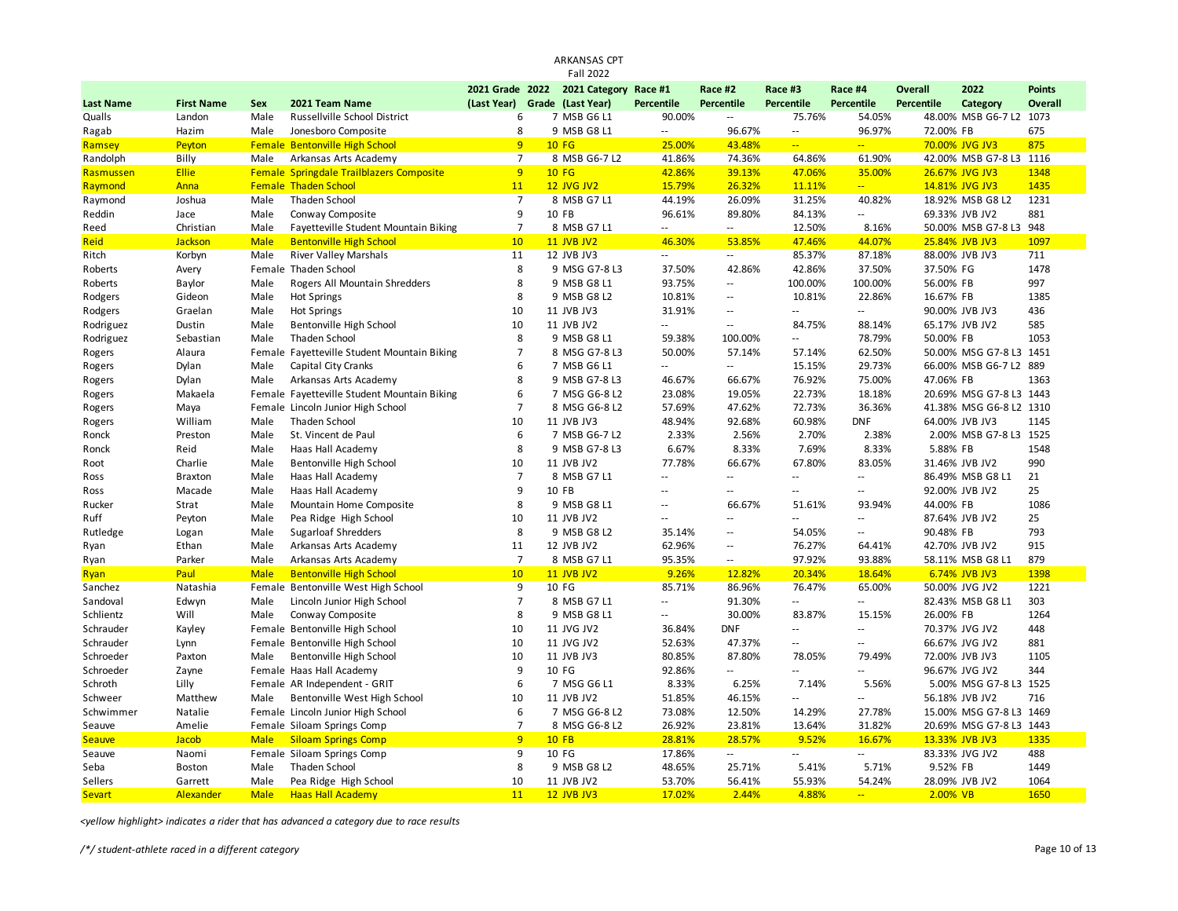|                  |                   |             |                                                 |                | <b>Fall 2022</b>              |                          |                          |                          |                          |                |                         |                |
|------------------|-------------------|-------------|-------------------------------------------------|----------------|-------------------------------|--------------------------|--------------------------|--------------------------|--------------------------|----------------|-------------------------|----------------|
|                  |                   |             |                                                 |                | 2021 Grade 2022 2021 Category | Race #1                  | Race #2                  | Race #3                  | Race #4                  | <b>Overall</b> | 2022                    | <b>Points</b>  |
| <b>Last Name</b> | <b>First Name</b> | Sex         | 2021 Team Name                                  | (Last Year)    | Grade (Last Year)             | <b>Percentile</b>        | <b>Percentile</b>        | <b>Percentile</b>        | Percentile               | Percentile     | Category                | <b>Overall</b> |
| Qualls           | Landon            | Male        | Russellville School District                    | 6              | 7 MSB G6 L1                   | 90.00%                   | Ξ.                       | 75.76%                   | 54.05%                   |                | 48.00% MSB G6-7 L2      | 1073           |
| Ragab            | Hazim             | Male        | Jonesboro Composite                             | 8              | 9 MSB G8 L1                   | $\sim$ $-$               | 96.67%                   | $\sim$ $-$               | 96.97%                   | 72.00% FB      |                         | 675            |
| Ramsey           | Peyton            | Female      | <b>Bentonville High School</b>                  | 9 <sup>°</sup> | <b>10 FG</b>                  | 25.00%                   | 43.48%                   | $\Box$                   | ш.                       |                | 70.00% JVG JV3          | 875            |
| Randolph         | Billy             | Male        | Arkansas Arts Academy                           | $\overline{7}$ | 8 MSB G6-7 L2                 | 41.86%                   | 74.36%                   | 64.86%                   | 61.90%                   |                | 42.00% MSB G7-8 L3 1116 |                |
| Rasmussen        | <b>Ellie</b>      |             | <b>Female Springdale Trailblazers Composite</b> | 9              | <b>10 FG</b>                  | 42.86%                   | 39.13%                   | 47.06%                   | 35.00%                   |                | 26.67% JVG JV3          | 1348           |
| Raymond          | Anna              |             | <b>Female Thaden School</b>                     | 11             | <b>12 JVG JV2</b>             | 15.79%                   | 26.32%                   | 11.11%                   | $-1$                     |                | 14.81% JVG JV3          | 1435           |
| Raymond          | Joshua            | Male        | Thaden School                                   | $\overline{7}$ | 8 MSB G7 L1                   | 44.19%                   | 26.09%                   | 31.25%                   | 40.82%                   |                | 18.92% MSB G8 L2        | 1231           |
| Reddin           | Jace              | Male        | Conway Composite                                | $\mathbf{q}$   | 10 FB                         | 96.61%                   | 89.80%                   | 84.13%                   | $-1$                     |                | 69.33% JVB JV2          | 881            |
| Reed             | Christian         | Male        | Fayetteville Student Mountain Biking            | $\overline{7}$ | 8 MSB G7 L1                   | $\overline{\phantom{a}}$ | $\overline{\phantom{a}}$ | 12.50%                   | 8.16%                    |                | 50.00% MSB G7-8 L3      | 948            |
| Reid             | Jackson           | <b>Male</b> | <b>Bentonville High School</b>                  | 10             | <b>11 JVB JV2</b>             | 46.30%                   | 53.85%                   | 47.46%                   | 44.07%                   |                | 25.84% JVB JV3          | 1097           |
| Ritch            | Korbyn            | Male        | <b>River Valley Marshals</b>                    | 11             | 12 JVB JV3                    | $\sim$ $\sim$            | $\ddotsc$                | 85.37%                   | 87.18%                   |                | 88.00% JVB JV3          | 711            |
| Roberts          | Avery             |             | Female Thaden School                            | 8              | 9 MSG G7-8 L3                 | 37.50%                   | 42.86%                   | 42.86%                   | 37.50%                   | 37.50% FG      |                         | 1478           |
| Roberts          | Baylor            | Male        | Rogers All Mountain Shredders                   | 8              | 9 MSB G8 L1                   | 93.75%                   | $\sim$ $\sim$            | 100.00%                  | 100.00%                  | 56.00% FB      |                         | 997            |
| Rodgers          | Gideon            | Male        | <b>Hot Springs</b>                              | 8              | 9 MSB G8 L2                   | 10.81%                   | $\overline{\phantom{a}}$ | 10.81%                   | 22.86%                   | 16.67% FB      |                         | 1385           |
| Rodgers          | Graelan           | Male        | <b>Hot Springs</b>                              | 10             | 11 JVB JV3                    | 31.91%                   | Ξ.                       | $\sim$ $\sim$            | Щ.                       |                | 90.00% JVB JV3          | 436            |
| Rodriguez        | Dustin            | Male        | <b>Bentonville High School</b>                  | 10             | 11 JVB JV2                    | $\overline{\phantom{a}}$ | $\overline{\phantom{a}}$ | 84.75%                   | 88.14%                   |                | 65.17% JVB JV2          | 585            |
| Rodriguez        | Sebastian         | Male        | <b>Thaden School</b>                            | 8              | 9 MSB G8 L1                   | 59.38%                   | 100.00%                  | $\sim$ $\sim$            | 78.79%                   | 50.00% FB      |                         | 1053           |
| Rogers           | Alaura            |             | Female Fayetteville Student Mountain Biking     | $\overline{7}$ | 8 MSG G7-8 L3                 | 50.00%                   | 57.14%                   | 57.14%                   | 62.50%                   |                | 50.00% MSG G7-8 L3 1451 |                |
| Rogers           | Dylan             | Male        | Capital City Cranks                             | 6              | 7 MSB G6 L1                   | $\sim$                   | Ξ.                       | 15.15%                   | 29.73%                   |                | 66.00% MSB G6-7 L2 889  |                |
| Rogers           | Dylan             | Male        | Arkansas Arts Academy                           | 8              | 9 MSB G7-8 L3                 | 46.67%                   | 66.67%                   | 76.92%                   | 75.00%                   | 47.06% FB      |                         | 1363           |
| Rogers           | Makaela           |             | Female Fayetteville Student Mountain Biking     | 6              | 7 MSG G6-8 L2                 | 23.08%                   | 19.05%                   | 22.73%                   | 18.18%                   |                | 20.69% MSG G7-8 L3 1443 |                |
| Rogers           | Maya              |             | Female Lincoln Junior High School               | $\overline{7}$ | 8 MSG G6-8 L2                 | 57.69%                   | 47.62%                   | 72.73%                   | 36.36%                   |                | 41.38% MSG G6-8 L2 1310 |                |
| Rogers           | William           | Male        | Thaden School                                   | 10             | 11 JVB JV3                    | 48.94%                   | 92.68%                   | 60.98%                   | <b>DNF</b>               |                | 64.00% JVB JV3          | 1145           |
| Ronck            | Preston           | Male        | St. Vincent de Paul                             | 6              | 7 MSB G6-7 L2                 | 2.33%                    | 2.56%                    | 2.70%                    | 2.38%                    |                | 2.00% MSB G7-8 L3 1525  |                |
| Ronck            | Reid              | Male        | Haas Hall Academy                               | 8              | 9 MSB G7-8 L3                 | 6.67%                    | 8.33%                    | 7.69%                    | 8.33%                    | 5.88% FB       |                         | 1548           |
| Root             | Charlie           | Male        | <b>Bentonville High School</b>                  | 10             | 11 JVB JV2                    | 77.78%                   | 66.67%                   | 67.80%                   | 83.05%                   |                | 31.46% JVB JV2          | 990            |
| Ross             | <b>Braxton</b>    | Male        | Haas Hall Academy                               | $\overline{7}$ | 8 MSB G7 L1                   | $\sim$                   | 4                        | $\sim$                   | $\sim$                   |                | 86.49% MSB G8 L1        | 21             |
| Ross             | Macade            | Male        | Haas Hall Academy                               | 9              | 10 FB                         | $\sim$                   | $\overline{a}$           | $\sim$ $\sim$            | $-1$                     |                | 92.00% JVB JV2          | 25             |
| Rucker           | Strat             | Male        | Mountain Home Composite                         | 8              | 9 MSB G8 L1                   | $\sim$                   | 66.67%                   | 51.61%                   | 93.94%                   | 44.00% FB      |                         | 1086           |
| Ruff             | Peyton            | Male        | Pea Ridge High School                           | 10             | 11 JVB JV2                    | $\sim$                   | Ξ.                       | $\sim$                   | $\sim$                   |                | 87.64% JVB JV2          | 25             |
| Rutledge         | Logan             | Male        | <b>Sugarloaf Shredders</b>                      | 8              | 9 MSB G8 L2                   | 35.14%                   | $\ddotsc$                | 54.05%                   | $\overline{a}$           | 90.48% FB      |                         | 793            |
| Ryan             | Ethan             | Male        | Arkansas Arts Academy                           | 11             | 12 JVB JV2                    | 62.96%                   | Ξ.                       | 76.27%                   | 64.41%                   |                | 42.70% JVB JV2          | 915            |
| Ryan             | Parker            | Male        | Arkansas Arts Academy                           | $\overline{7}$ | 8 MSB G7 L1                   | 95.35%                   | $\overline{\phantom{m}}$ | 97.92%                   | 93.88%                   |                | 58.11% MSB G8 L1        | 879            |
| Ryan             | Paul              | <b>Male</b> | <b>Bentonville High School</b>                  | 10             | <b>11 JVB JV2</b>             | 9.26%                    | 12.82%                   | 20.34%                   | 18.64%                   |                | 6.74% JVB JV3           | 1398           |
| Sanchez          | Natashia          | Female      | Bentonville West High School                    | 9              | 10 FG                         | 85.71%                   | 86.96%                   | 76.47%                   | 65.00%                   |                | 50.00% JVG JV2          | 1221           |
| Sandoval         | Edwyn             | Male        | Lincoln Junior High School                      | $\overline{7}$ | 8 MSB G7 L1                   | $\overline{\phantom{a}}$ | 91.30%                   | $\overline{\phantom{a}}$ | $\overline{a}$           |                | 82.43% MSB G8 L1        | 303            |
| Schlientz        | Will              | Male        | Conway Composite                                | 8              | 9 MSB G8 L1                   | $\overline{\phantom{a}}$ | 30.00%                   | 83.87%                   | 15.15%                   | 26.00% FB      |                         | 1264           |
| Schrauder        | Kayley            |             | Female Bentonville High School                  | 10             | 11 JVG JV2                    | 36.84%                   | <b>DNF</b>               | $\overline{\phantom{a}}$ | $\overline{\phantom{a}}$ |                | 70.37% JVG JV2          | 448            |
| Schrauder        | Lynn              |             | Female Bentonville High School                  | 10             | 11 JVG JV2                    | 52.63%                   | 47.37%                   | $\sim$ $\sim$            | $-$                      |                | 66.67% JVG JV2          | 881            |
| Schroeder        | Paxton            | Male        | Bentonville High School                         | 10             | 11 JVB JV3                    | 80.85%                   | 87.80%                   | 78.05%                   | 79.49%                   |                | 72.00% JVB JV3          | 1105           |
| Schroeder        | Zayne             |             | Female Haas Hall Academy                        | $\mathbf{q}$   | 10 FG                         | 92.86%                   | u.                       | $\sim$ $\sim$            | $\overline{a}$           |                | 96.67% JVG JV2          | 344            |
| Schroth          | Lilly             |             | Female AR Independent - GRIT                    | 6              | 7 MSG G6 L1                   | 8.33%                    | 6.25%                    | 7.14%                    | 5.56%                    |                | 5.00% MSG G7-8 L3 1525  |                |
| Schweer          | Matthew           | Male        | Bentonville West High School                    | 10             | 11 JVB JV2                    | 51.85%                   | 46.15%                   | $\overline{\phantom{a}}$ | щ.                       |                | 56.18% JVB JV2          | 716            |
| Schwimmer        | Natalie           |             | Female Lincoln Junior High School               | 6              | 7 MSG G6-8 L2                 | 73.08%                   | 12.50%                   | 14.29%                   | 27.78%                   |                | 15.00% MSG G7-8 L3 1469 |                |
| Seauve           | Amelie            |             | Female Siloam Springs Comp                      | $\overline{7}$ | 8 MSG G6-8 L2                 | 26.92%                   | 23.81%                   | 13.64%                   | 31.82%                   |                | 20.69% MSG G7-8 L3 1443 |                |
| <b>Seauve</b>    | Jacob             | <b>Male</b> | <b>Siloam Springs Comp</b>                      | 9              | <b>10 FB</b>                  | 28.81%                   | 28.57%                   | 9.52%                    | 16.67%                   |                | 13.33% JVB JV3          | 1335           |
| Seauve           | Naomi             |             | Female Siloam Springs Comp                      | 9              | 10 FG                         | 17.86%                   | $\sim$                   | $\sim$ $\sim$            | $\overline{a}$           |                | 83.33% JVG JV2          | 488            |
| Seba             | <b>Boston</b>     | Male        | Thaden School                                   | 8              | 9 MSB G8 L2                   | 48.65%                   | 25.71%                   | 5.41%                    | 5.71%                    | 9.52% FB       |                         | 1449           |
| Sellers          | Garrett           | Male        | Pea Ridge High School                           | 10             | 11 JVB JV2                    | 53.70%                   | 56.41%                   | 55.93%                   | 54.24%                   |                | 28.09% JVB JV2          | 1064           |
| <b>Sevart</b>    | Alexander         | <b>Male</b> | <b>Haas Hall Academy</b>                        | 11             | <b>12 JVB JV3</b>             | 17.02%                   | 2.44%                    | 4.88%                    | a.                       | 2.00% VB       |                         | 1650           |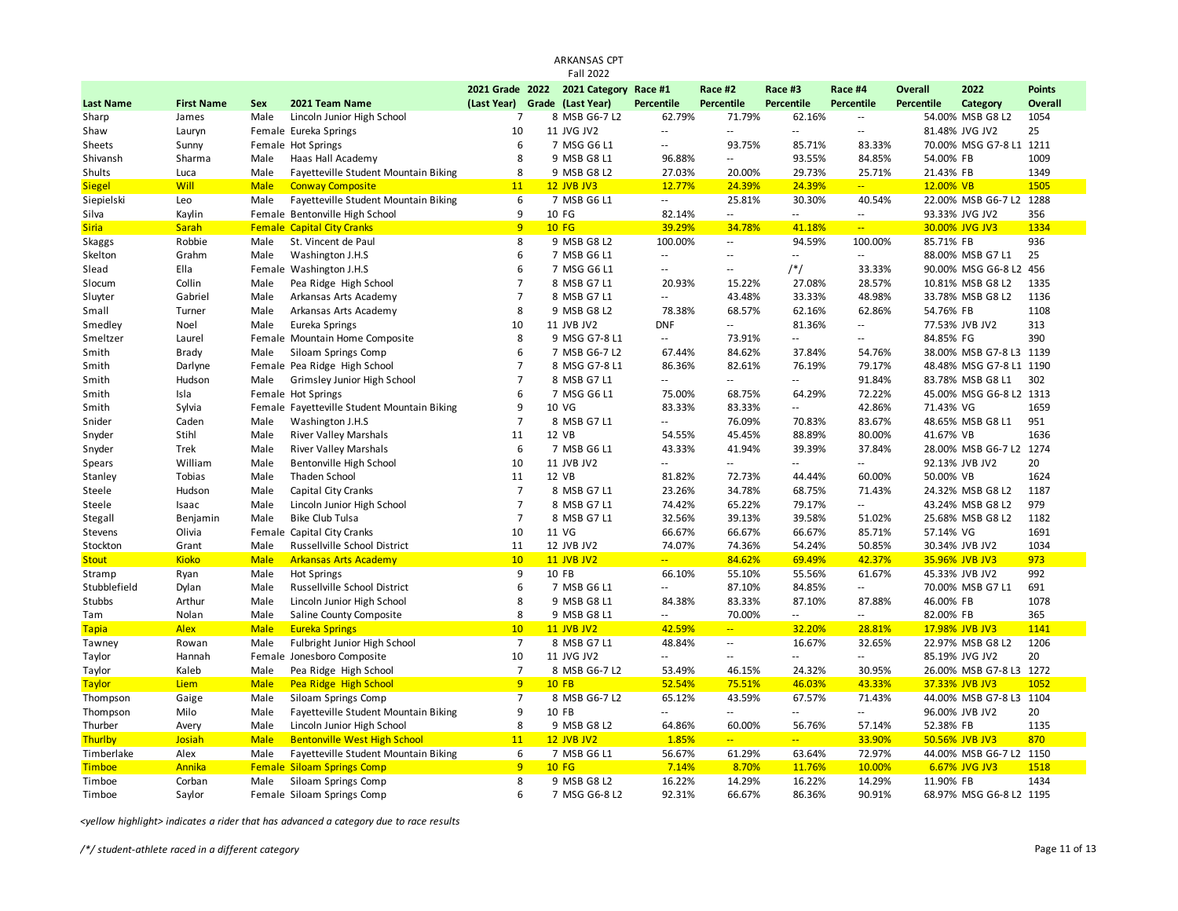|                  |                   |             |                                             |                 | <b>ARKANSAS CPT</b>   |                           |                             |                             |                             |            |                         |               |
|------------------|-------------------|-------------|---------------------------------------------|-----------------|-----------------------|---------------------------|-----------------------------|-----------------------------|-----------------------------|------------|-------------------------|---------------|
|                  |                   |             |                                             |                 | <b>Fall 2022</b>      |                           |                             |                             |                             |            |                         |               |
|                  |                   |             |                                             | 2021 Grade 2022 | 2021 Category Race #1 |                           | Race #2                     | Race #3                     | Race #4                     | Overall    | 2022                    | <b>Points</b> |
| <b>Last Name</b> | <b>First Name</b> | Sex         | 2021 Team Name                              | (Last Year)     | Grade (Last Year)     | <b>Percentile</b>         | Percentile                  | Percentile                  | Percentile                  | Percentile | Category                | Overall       |
| Sharp            | James             | Male        | Lincoln Junior High School                  | $\overline{7}$  | 8 MSB G6-7 L2         | 62.79%                    | 71.79%                      | 62.16%                      | $\mathbb{L}^2$              |            | 54.00% MSB G8 L2        | 1054          |
| Shaw             | Lauryn            |             | Female Eureka Springs                       | 10              | 11 JVG JV2            | u.                        | $\mathcal{L} =$             | $\sim$                      | $\mathcal{L}_{\mathcal{A}}$ |            | 81.48% JVG JV2          | 25            |
| Sheets           | Sunny             |             | Female Hot Springs                          | 6               | 7 MSG G6 L1           | $\overline{a}$            | 93.75%                      | 85.71%                      | 83.33%                      |            | 70.00% MSG G7-8 L1 1211 |               |
| Shivansh         | Sharma            | Male        | Haas Hall Academy                           | 8               | 9 MSB G8 L1           | 96.88%                    | Ξ.                          | 93.55%                      | 84.85%                      | 54.00% FB  |                         | 1009          |
| Shults           | Luca              | Male        | Fayetteville Student Mountain Biking        | 8               | 9 MSB G8 L2           | 27.03%                    | 20.00%                      | 29.73%                      | 25.71%                      | 21.43% FB  |                         | 1349          |
| <b>Siegel</b>    | Will              | <b>Male</b> | <b>Conway Composite</b>                     | 11              | <b>12 JVB JV3</b>     | 12.77%                    | 24.39%                      | 24.39%                      | $\mathbb{Z}[\mathbb{Z}_p]$  | 12.00% VB  |                         | 1505          |
| Siepielski       | Leo               | Male        | Fayetteville Student Mountain Biking        | 6               | 7 MSB G6 L1           | $\sim$ $\sim$             | 25.81%                      | 30.30%                      | 40.54%                      |            | 22.00% MSB G6-7 L2      | 1288          |
| Silva            | Kaylin            |             | Female Bentonville High School              | 9               | 10 FG                 | 82.14%                    | $\mathcal{L}_{\mathcal{A}}$ | $\sim$ $-$                  | $\sim$ $\sim$               |            | 93.33% JVG JV2          | 356           |
| <b>Siria</b>     | <b>Sarah</b>      |             | <b>Female Capital City Cranks</b>           | 9               | <b>10 FG</b>          | 39.29%                    | 34.78%                      | 41.18%                      | $\omega_{\rm m}$            |            | 30.00% JVG JV3          | 1334          |
| Skaggs           | Robbie            | Male        | St. Vincent de Paul                         | 8               | 9 MSB G8 L2           | 100.00%                   | Ξ.                          | 94.59%                      | 100.00%                     | 85.71% FB  |                         | 936           |
| Skelton          | Grahm             | Male        | Washington J.H.S                            | 6               | 7 MSB G6 L1           | $\mathbb{L}^{\mathbb{L}}$ | $\sim$                      | $\sim$                      | $\sim$                      |            | 88.00% MSB G7 L1        | 25            |
| Slead            | Ella              |             | Female Washington J.H.S                     | 6               | 7 MSG G6 L1           | $\sim$ $\sim$             | $\sim$ $\sim$               | $/*/$                       | 33.33%                      |            | 90.00% MSG G6-8 L2      | 456           |
| Slocum           | Collin            | Male        | Pea Ridge High School                       | $\overline{7}$  | 8 MSB G7 L1           | 20.93%                    | 15.22%                      | 27.08%                      | 28.57%                      |            | 10.81% MSB G8 L2        | 1335          |
| Sluyter          | Gabriel           | Male        | Arkansas Arts Academy                       | $\overline{7}$  | 8 MSB G7 L1           | Ξ.                        | 43.48%                      | 33.33%                      | 48.98%                      |            | 33.78% MSB G8 L2        | 1136          |
| Small            | Turner            | Male        | Arkansas Arts Academy                       | 8               | 9 MSB G8 L2           | 78.38%                    | 68.57%                      | 62.16%                      | 62.86%                      | 54.76% FB  |                         | 1108          |
| Smedley          | Noel              | Male        | Eureka Springs                              | 10              | 11 JVB JV2            | <b>DNF</b>                | $\sim$                      | 81.36%                      | $\sim$                      |            | 77.53% JVB JV2          | 313           |
| Smeltzer         | Laurel            |             | Female Mountain Home Composite              | 8               | 9 MSG G7-8 L1         | $\mathbb{L}^{\mathbb{L}}$ | 73.91%                      | $\overline{\phantom{a}}$    | $\sim$                      | 84.85% FG  |                         | 390           |
| Smith            | <b>Brady</b>      | Male        | Siloam Springs Comp                         | 6               | 7 MSB G6-7 L2         | 67.44%                    | 84.62%                      | 37.84%                      | 54.76%                      |            | 38.00% MSB G7-8 L3      | 1139          |
| Smith            | Darlyne           |             | Female Pea Ridge High School                | $\overline{7}$  | 8 MSG G7-8 L1         | 86.36%                    | 82.61%                      | 76.19%                      | 79.17%                      |            | 48.48% MSG G7-8 L1 1190 |               |
| Smith            | Hudson            | Male        | Grimsley Junior High School                 | $\overline{7}$  | 8 MSB G7 L1           | Ξ.                        | $\sim$                      | $\sim$ $\sim$               | 91.84%                      |            | 83.78% MSB G8 L1        | 302           |
| Smith            | Isla              |             | Female Hot Springs                          | 6               | 7 MSG G6 L1           | 75.00%                    | 68.75%                      | 64.29%                      | 72.22%                      |            | 45.00% MSG G6-8 L2 1313 |               |
| Smith            | Sylvia            |             | Female Fayetteville Student Mountain Biking | 9               | 10 VG                 | 83.33%                    | 83.33%                      | $\overline{\phantom{a}}$    | 42.86%                      | 71.43% VG  |                         | 1659          |
| Snider           | Caden             | Male        | Washington J.H.S                            | $\overline{7}$  | 8 MSB G7 L1           | ÷.                        | 76.09%                      | 70.83%                      | 83.67%                      |            | 48.65% MSB G8 L1        | 951           |
| Snyder           | Stihl             | Male        | <b>River Valley Marshals</b>                | 11              | 12 VB                 | 54.55%                    | 45.45%                      | 88.89%                      | 80.00%                      | 41.67% VB  |                         | 1636          |
| Snyder           | Trek              | Male        | <b>River Valley Marshals</b>                | 6               | 7 MSB G6 L1           | 43.33%                    | 41.94%                      | 39.39%                      | 37.84%                      |            | 28.00% MSB G6-7 L2      | 1274          |
| Spears           | William           | Male        | Bentonville High School                     | 10              | 11 JVB JV2            | $\overline{a}$            | $\sim$ $\sim$               | $\overline{a}$              | $\sim$ $\sim$               |            | 92.13% JVB JV2          | 20            |
| Stanley          | Tobias            | Male        | Thaden School                               | 11              | 12 VB                 | 81.82%                    | 72.73%                      | 44.44%                      | 60.00%                      | 50.00% VB  |                         | 1624          |
| Steele           | Hudson            | Male        | Capital City Cranks                         | $\overline{7}$  | 8 MSB G7 L1           | 23.26%                    | 34.78%                      | 68.75%                      | 71.43%                      |            | 24.32% MSB G8 L2        | 1187          |
| Steele           | Isaac             | Male        | Lincoln Junior High School                  | $\overline{7}$  | 8 MSB G7 L1           | 74.42%                    | 65.22%                      | 79.17%                      | $\sim$ $\sim$               |            | 43.24% MSB G8 L2        | 979           |
| Stegall          | Benjamin          | Male        | <b>Bike Club Tulsa</b>                      | $\overline{7}$  | 8 MSB G7 L1           | 32.56%                    | 39.13%                      | 39.58%                      | 51.02%                      |            | 25.68% MSB G8 L2        | 1182          |
| Stevens          | Olivia            |             | Female Capital City Cranks                  | 10              | 11 VG                 | 66.67%                    | 66.67%                      | 66.67%                      | 85.71%                      | 57.14% VG  |                         | 1691          |
| Stockton         | Grant             | Male        | Russellville School District                | 11              | 12 JVB JV2            | 74.07%                    | 74.36%                      | 54.24%                      | 50.85%                      |            | 30.34% JVB JV2          | 1034          |
| <b>Stout</b>     | <b>Kioko</b>      | <b>Male</b> | <b>Arkansas Arts Academy</b>                | 10              | <b>11 JVB JV2</b>     | $\mathbb{Z}_{\geq 0}$     | 84.62%                      | 69.49%                      | 42.37%                      |            | 35.96% JVB JV3          | 973           |
| Stramp           | Ryan              | Male        | <b>Hot Springs</b>                          | 9               | 10 FB                 | 66.10%                    | 55.10%                      | 55.56%                      | 61.67%                      |            | 45.33% JVB JV2          | 992           |
| Stubblefield     | Dylan             | Male        | Russellville School District                | 6               | 7 MSB G6 L1           | $\overline{\phantom{a}}$  | 87.10%                      | 84.85%                      | $\sim$                      |            | 70.00% MSB G7 L1        | 691           |
| Stubbs           | Arthur            | Male        | Lincoln Junior High School                  | 8               | 9 MSB G8 L1           | 84.38%                    | 83.33%                      | 87.10%                      | 87.88%                      | 46.00% FB  |                         | 1078          |
| Tam              | Nolan             | Male        | Saline County Composite                     | 8               | 9 MSB G8 L1           | $\sim$                    | 70.00%                      | $\sim$ $\sim$               | $\sim$ $\sim$               | 82.00% FB  |                         | 365           |
| <b>Tapia</b>     | <b>Alex</b>       | <b>Male</b> | <b>Eureka Springs</b>                       | 10              | <b>11 JVB JV2</b>     | 42.59%                    | $\mathbb{Z}^{\mathbb{Z}^n}$ | 32.20%                      | 28.81%                      |            | 17.98% JVB JV3          | 1141          |
| Tawney           | Rowan             | Male        | Fulbright Junior High School                | $\overline{7}$  | 8 MSB G7 L1           | 48.84%                    | $\sim$                      | 16.67%                      | 32.65%                      |            | 22.97% MSB G8 L2        | 1206          |
| Taylor           | Hannah            |             | Female Jonesboro Composite                  | 10              | 11 JVG JV2            | Ξ.                        | $\sim$                      | $\overline{\phantom{a}}$    | $\sim$                      |            | 85.19% JVG JV2          | 20            |
| Taylor           | Kaleb             | Male        | Pea Ridge High School                       | $\overline{7}$  | 8 MSB G6-7 L2         | 53.49%                    | 46.15%                      | 24.32%                      | 30.95%                      |            | 26.00% MSB G7-8 L3      | 1272          |
| <b>Taylor</b>    | Liem              | <b>Male</b> | Pea Ridge High School                       | 9               | <b>10 FB</b>          | 52.54%                    | 75.51%                      | 46.03%                      | 43.33%                      |            | 37.33% JVB JV3          | 1052          |
| Thompson         | Gaige             | Male        | Siloam Springs Comp                         | $\overline{7}$  | 8 MSB G6-7 L2         | 65.12%                    | 43.59%                      | 67.57%                      | 71.43%                      |            | 44.00% MSB G7-8 L3 1104 |               |
| Thompson         | Milo              | Male        | Fayetteville Student Mountain Biking        | 9               | 10 FB                 | $\overline{a}$            | $\sim$ $\sim$               | $\mathcal{L}^{\mathcal{L}}$ | $\mathcal{L}_{\mathcal{A}}$ |            | 96.00% JVB JV2          | 20            |
| Thurber          | Avery             | Male        | Lincoln Junior High School                  | 8               | 9 MSB G8 L2           | 64.86%                    | 60.00%                      | 56.76%                      | 57.14%                      | 52.38% FB  |                         | 1135          |
| Thurlby          | Josiah            | <b>Male</b> | <b>Bentonville West High School</b>         | 11              | <b>12 JVB JV2</b>     | 1.85%                     | u,                          | $\overline{a}$              | 33.90%                      |            | 50.56% JVB JV3          | 870           |
| Timberlake       | Alex              | Male        | Fayetteville Student Mountain Biking        | 6               | 7 MSB G6 L1           | 56.67%                    | 61.29%                      | 63.64%                      | 72.97%                      |            | 44.00% MSB G6-7 L2      | 1150          |
| <b>Timboe</b>    | Annika            |             | <b>Female Siloam Springs Comp</b>           | 9               | <b>10 FG</b>          | 7.14%                     | 8.70%                       | 11.76%                      | 10.00%                      |            | 6.67% JVG JV3           | 1518          |
| Timboe           | Corban            | Male        | Siloam Springs Comp                         | 8               | 9 MSB G8 L2           | 16.22%                    | 14.29%                      | 16.22%                      | 14.29%                      | 11.90% FB  |                         | 1434          |
| Timboe           | Saylor            |             | Female Siloam Springs Comp                  | 6               | 7 MSG G6-8 L2         | 92.31%                    | 66.67%                      | 86.36%                      | 90.91%                      |            | 68.97% MSG G6-8 L2 1195 |               |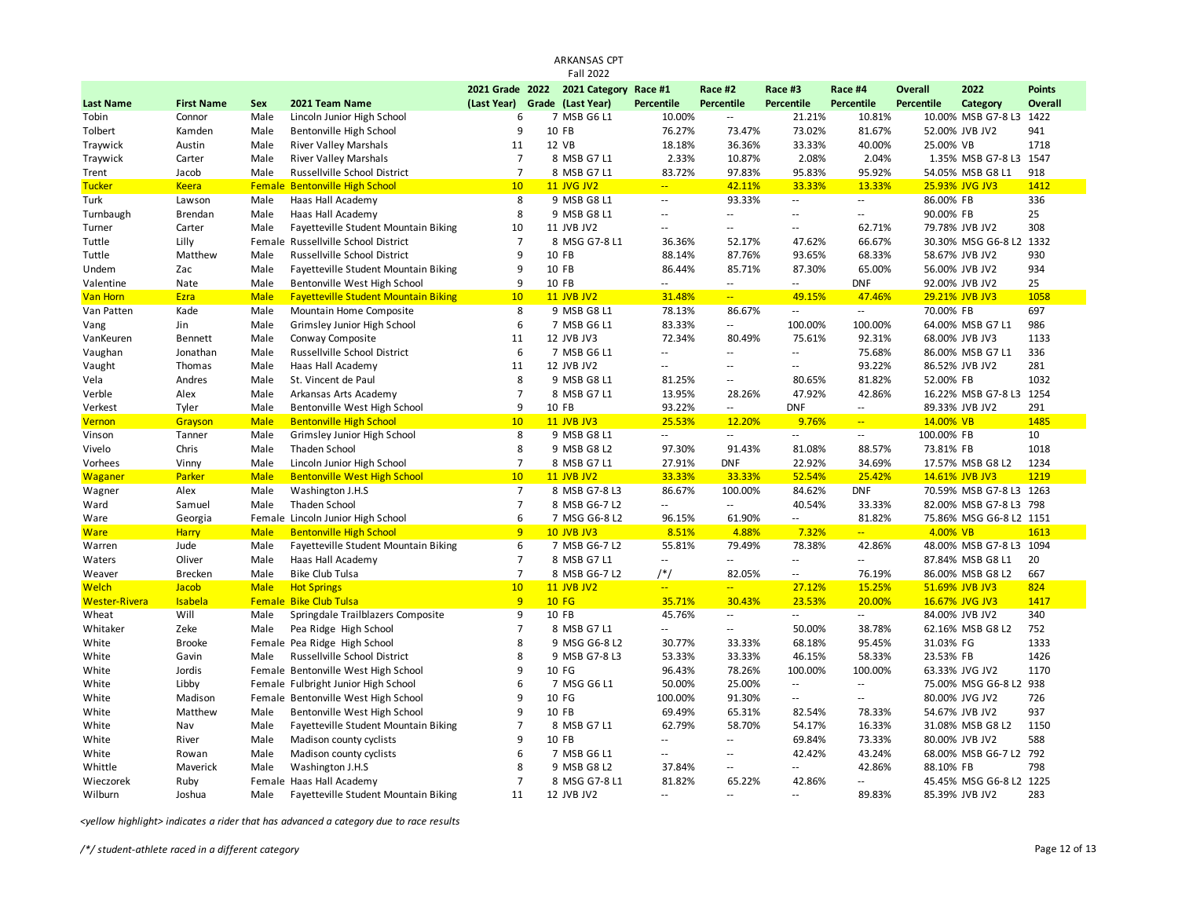|                      |                   |             |                                             |                | ARKANSAS CPT                  |                          |                             |                          |                |            |                         |                |
|----------------------|-------------------|-------------|---------------------------------------------|----------------|-------------------------------|--------------------------|-----------------------------|--------------------------|----------------|------------|-------------------------|----------------|
|                      |                   |             |                                             |                | <b>Fall 2022</b>              |                          |                             |                          |                |            |                         |                |
|                      |                   |             |                                             |                | 2021 Grade 2022 2021 Category | Race #1                  | Race #2                     | Race #3                  | Race #4        | Overall    | 2022                    | <b>Points</b>  |
| <b>Last Name</b>     | <b>First Name</b> | Sex         | 2021 Team Name                              | (Last Year)    | Grade (Last Year)             | Percentile               | Percentile                  | Percentile               | Percentile     | Percentile | Category                | <b>Overall</b> |
| Tobin                | Connor            | Male        | Lincoln Junior High School                  | 6              | 7 MSB G6 L1                   | 10.00%                   | $\overline{\phantom{a}}$    | 21.21%                   | 10.81%         |            | 10.00% MSB G7-8 L3      | 1422           |
| Tolbert              | Kamden            | Male        | Bentonville High School                     | 9              | 10 FB                         | 76.27%                   | 73.47%                      | 73.02%                   | 81.67%         |            | 52.00% JVB JV2          | 941            |
| Traywick             | Austin            | Male        | <b>River Valley Marshals</b>                | 11             | 12 VB                         | 18.18%                   | 36.36%                      | 33.33%                   | 40.00%         | 25.00% VB  |                         | 1718           |
| Traywick             | Carter            | Male        | <b>River Valley Marshals</b>                | $\overline{7}$ | 8 MSB G7 L1                   | 2.33%                    | 10.87%                      | 2.08%                    | 2.04%          |            | 1.35% MSB G7-8 L3 1547  |                |
| Trent                | Jacob             | Male        | Russellville School District                | $\overline{7}$ | 8 MSB G7 L1                   | 83.72%                   | 97.83%                      | 95.83%                   | 95.92%         |            | 54.05% MSB G8 L1        | 918            |
| <b>Tucker</b>        | <b>Keera</b>      | Female      | <b>Bentonville High School</b>              | 10             | <b>11 JVG JV2</b>             | ц,                       | 42.11%                      | 33.33%                   | 13.33%         |            | 25.93% JVG JV3          | 1412           |
| Turk                 | Lawson            | Male        | Haas Hall Academy                           | 8              | 9 MSB G8 L1                   | $\overline{\phantom{a}}$ | 93.33%                      | $\sim$                   | $\sim$         | 86.00% FB  |                         | 336            |
| Turnbaugh            | Brendan           | Male        | Haas Hall Academy                           | 8              | 9 MSB G8 L1                   | 44                       | $\overline{a}$              | $\sim$ $\sim$            | $\overline{a}$ | 90.00% FB  |                         | 25             |
| Turner               | Carter            | Male        | Fayetteville Student Mountain Biking        | 10             | 11 JVB JV2                    | $\overline{\phantom{a}}$ | $\sim$ $\sim$               | $\sim$ $\sim$            | 62.71%         |            | 79.78% JVB JV2          | 308            |
| Tuttle               | Lilly             | Female      | Russellville School District                | $\overline{7}$ | 8 MSG G7-8 L1                 | 36.36%                   | 52.17%                      | 47.62%                   | 66.67%         |            | 30.30% MSG G6-8 L2      | 1332           |
| Tuttle               | Matthew           | Male        | Russellville School District                | 9              | 10 FB                         | 88.14%                   | 87.76%                      | 93.65%                   | 68.33%         |            | 58.67% JVB JV2          | 930            |
| Undem                | Zac               | Male        | Fayetteville Student Mountain Biking        | 9              | 10 FB                         | 86.44%                   | 85.71%                      | 87.30%                   | 65.00%         |            | 56.00% JVB JV2          | 934            |
| Valentine            | Nate              | Male        | Bentonville West High School                | 9              | 10 FB                         | $\sim$ $\sim$            | $\sim$ $-$                  | $\sim$ $-$               | <b>DNF</b>     |            | 92.00% JVB JV2          | 25             |
| <b>Van Horn</b>      | Ezra              | <b>Male</b> | <b>Fayetteville Student Mountain Biking</b> | 10             | <b>11 JVB JV2</b>             | 31.48%                   | $\Box$                      | 49.15%                   | 47.46%         |            | 29.21% JVB JV3          | 1058           |
| Van Patten           | Kade              | Male        | Mountain Home Composite                     | 8              | 9 MSB G8 L1                   | 78.13%                   | 86.67%                      | $\overline{\phantom{a}}$ | $\sim$         | 70.00% FB  |                         | 697            |
| Vang                 | Jin               | Male        | Grimsley Junior High School                 | 6              | 7 MSB G6 L1                   | 83.33%                   | $\sim$                      | 100.00%                  | 100.00%        |            | 64.00% MSB G7 L1        | 986            |
| VanKeuren            | <b>Bennett</b>    | Male        | Conway Composite                            | 11             | 12 JVB JV3                    | 72.34%                   | 80.49%                      | 75.61%                   | 92.31%         |            | 68.00% JVB JV3          | 1133           |
| Vaughan              | Jonathan          | Male        | Russellville School District                | 6              | 7 MSB G6 L1                   | $\overline{\phantom{a}}$ | ÷.                          | $\sim$ $\sim$            | 75.68%         |            | 86.00% MSB G7 L1        | 336            |
| Vaught               | Thomas            | Male        | Haas Hall Academy                           | 11             | 12 JVB JV2                    | $\overline{\phantom{a}}$ | $\overline{\phantom{a}}$    | $\sim$ $-$               | 93.22%         |            | 86.52% JVB JV2          | 281            |
| Vela                 | Andres            | Male        | St. Vincent de Paul                         | 8              | 9 MSB G8 L1                   | 81.25%                   | $\overline{\phantom{a}}$    | 80.65%                   | 81.82%         | 52.00% FB  |                         | 1032           |
| Verble               | Alex              | Male        | Arkansas Arts Academy                       | $\overline{7}$ | 8 MSB G7 L1                   | 13.95%                   | 28.26%                      | 47.92%                   | 42.86%         |            | 16.22% MSB G7-8 L3 1254 |                |
| Verkest              | Tyler             | Male        | Bentonville West High School                | 9              | 10 FB                         | 93.22%                   | $\mathbb{Z}^2$              | <b>DNF</b>               | $\sim$ $-$     |            | 89.33% JVB JV2          | 291            |
| Vernon               | Grayson           | <b>Male</b> | <b>Bentonville High School</b>              | 10             | <b>11 JVB JV3</b>             | 25.53%                   | 12.20%                      | 9.76%                    | $\sim$ $\sim$  | 14.00% VB  |                         | 1485           |
| Vinson               | Tanner            | Male        | Grimsley Junior High School                 | 8              | 9 MSB G8 L1                   | Ξ.                       | $\mathbb{Z}^2$              | $\sim$ $\sim$            | $\sim$         | 100.00% FB |                         | 10             |
| Vivelo               | Chris             | Male        | Thaden School                               | 8              | 9 MSB G8 L2                   | 97.30%                   | 91.43%                      | 81.08%                   | 88.57%         | 73.81% FB  |                         | 1018           |
| Vorhees              | Vinny             | Male        | Lincoln Junior High School                  | $\overline{7}$ | 8 MSB G7 L1                   | 27.91%                   | <b>DNF</b>                  | 22.92%                   | 34.69%         |            | 17.57% MSB G8 L2        | 1234           |
| Waganer              | Parker            | <b>Male</b> | <b>Bentonville West High School</b>         | 10             | <b>11 JVB JV2</b>             | 33.33%                   | 33.33%                      | 52.54%                   | 25.42%         |            | 14.61% JVB JV3          | 1219           |
| Wagner               | Alex              | Male        | Washington J.H.S                            | $\overline{7}$ | 8 MSB G7-8 L3                 | 86.67%                   | 100.00%                     | 84.62%                   | <b>DNF</b>     |            | 70.59% MSB G7-8 L3 1263 |                |
| Ward                 | Samuel            | Male        | Thaden School                               | $\overline{7}$ | 8 MSB G6-7 L2                 | $\overline{\phantom{a}}$ | $\sim$                      | 40.54%                   | 33.33%         |            | 82.00% MSB G7-8 L3 798  |                |
| Ware                 | Georgia           | Female      | Lincoln Junior High School                  | 6              | 7 MSG G6-8 L2                 | 96.15%                   | 61.90%                      | $\overline{\phantom{a}}$ | 81.82%         |            | 75.86% MSG G6-8 L2 1151 |                |
| <b>Ware</b>          | <b>Harry</b>      | <b>Male</b> | <b>Bentonville High School</b>              | $\overline{q}$ | <b>10 JVB JV3</b>             | 8.51%                    | 4.88%                       | 7.32%                    | ΞĒ,            | 4.00% VB   |                         | 1613           |
| Warren               | Jude              | Male        | Fayetteville Student Mountain Biking        | 6              | 7 MSB G6-7 L2                 | 55.81%                   | 79.49%                      | 78.38%                   | 42.86%         |            | 48.00% MSB G7-8 L3 1094 |                |
| Waters               | Oliver            | Male        | Haas Hall Academy                           | $\overline{7}$ | 8 MSB G7 L1                   | $\mathbb{L}$             | u.                          | $\sim$ $\sim$            | $-1$           |            | 87.84% MSB G8 L1        | 20             |
| Weaver               | <b>Brecken</b>    | Male        | <b>Bike Club Tulsa</b>                      | $\overline{7}$ | 8 MSB G6-7 L2                 | $/*/$                    | 82.05%                      | $\overline{\phantom{a}}$ | 76.19%         |            | 86.00% MSB G8 L2        | 667            |
| <b>Welch</b>         | Jacob             | <b>Male</b> | <b>Hot Springs</b>                          | 10             | <b>11 JVB JV2</b>             | ц,                       | ш,                          | 27.12%                   | 15.25%         |            | 51.69% JVB JV3          | 824            |
| <b>Wester-Rivera</b> | Isabela           | Female      | <b>Bike Club Tulsa</b>                      | $\overline{9}$ | <b>10 FG</b>                  | 35.71%                   | 30.43%                      | 23.53%                   | 20.00%         |            | 16.67% JVG JV3          | 1417           |
| Wheat                | Will              | Male        | Springdale Trailblazers Composite           | 9              | 10 FB                         | 45.76%                   | $\sim$                      | $\sim$                   | $\sim$         |            | 84.00% JVB JV2          | 340            |
| Whitaker             | Zeke              | Male        | Pea Ridge High School                       | $\overline{7}$ | 8 MSB G7 L1                   | u.                       | $\sim$ $\sim$               | 50.00%                   | 38.78%         |            | 62.16% MSB G8 L2        | 752            |
| White                | <b>Brooke</b>     | Female      | Pea Ridge High School                       | 8              | 9 MSG G6-8 L2                 | 30.77%                   | 33.33%                      | 68.18%                   | 95.45%         | 31.03% FG  |                         | 1333           |
| White                | Gavin             | Male        | Russellville School District                | 8              | 9 MSB G7-8 L3                 | 53.33%                   | 33.33%                      | 46.15%                   | 58.33%         | 23.53% FB  |                         | 1426           |
| White                | Jordis            | Female      | Bentonville West High School                | 9              | 10 FG                         | 96.43%                   | 78.26%                      | 100.00%                  | 100.00%        |            | 63.33% JVG JV2          | 1170           |
| White                | Libby             |             | Female Fulbright Junior High School         | 6              | 7 MSG G6 L1                   | 50.00%                   | 25.00%                      | $\sim$                   | $\sim$         |            | 75.00% MSG G6-8 L2      | 938            |
| White                | Madison           |             | Female Bentonville West High School         | 9              | 10 FG                         | 100.00%                  | 91.30%                      | $\sim$ $-$               | $\sim$         |            | 80.00% JVG JV2          | 726            |
| White                | Matthew           | Male        | Bentonville West High School                | 9              | 10 FB                         | 69.49%                   | 65.31%                      | 82.54%                   | 78.33%         |            | 54.67% JVB JV2          | 937            |
| White                | Nav               | Male        | Fayetteville Student Mountain Biking        | $\overline{7}$ | 8 MSB G7 L1                   | 62.79%                   | 58.70%                      | 54.17%                   | 16.33%         |            | 31.08% MSB G8 L2        | 1150           |
| White                | River             | Male        | Madison county cyclists                     | 9              | 10 FB                         | $\overline{\phantom{a}}$ | $\mathcal{L}^{\mathcal{L}}$ | 69.84%                   | 73.33%         |            | 80.00% JVB JV2          | 588            |
| White                | Rowan             | Male        | Madison county cyclists                     | 6              | 7 MSB G6 L1                   | 44                       | ٠.                          | 42.42%                   | 43.24%         |            | 68.00% MSB G6-7 L2      | 792            |
| Whittle              | Maverick          | Male        | Washington J.H.S                            | 8              | 9 MSB G8 L2                   | 37.84%                   | ٠.                          | $\overline{a}$           | 42.86%         | 88.10% FB  |                         | 798            |
| Wieczorek            | Ruby              |             | Female Haas Hall Academy                    | $\overline{7}$ | 8 MSG G7-8 L1                 | 81.82%                   | 65.22%                      | 42.86%                   | $-1$           |            | 45.45% MSG G6-8 L2 1225 |                |
| Wilburn              | Joshua            | Male        | Fayetteville Student Mountain Biking        | 11             | 12 JVB JV2                    | $\mathbf{u}$             | $\sim$                      | $\sim$ $-$               | 89.83%         |            | 85.39% JVB JV2          | 283            |
|                      |                   |             |                                             |                |                               |                          |                             |                          |                |            |                         |                |